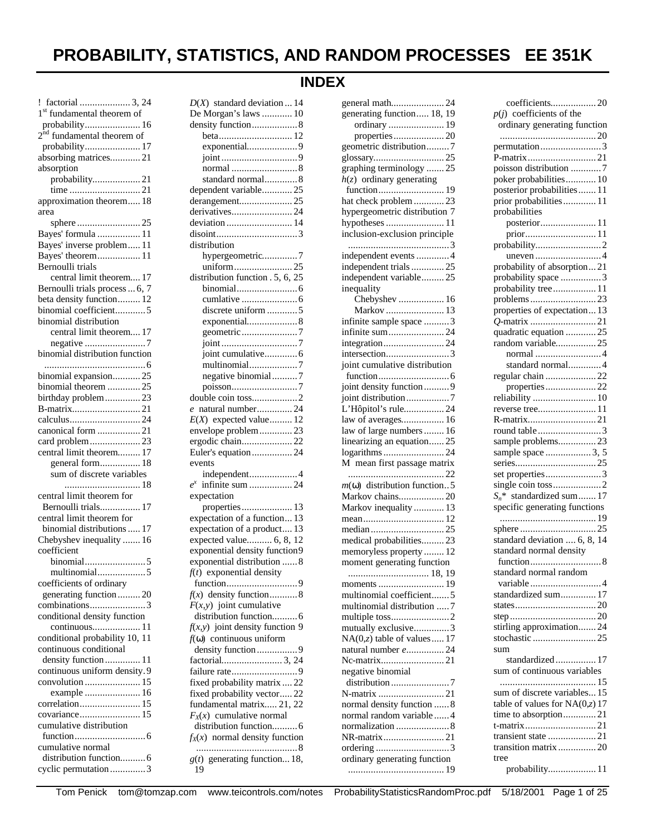# **PROBABILITY, STATISTICS, AND RANDOM PROCESSES EE 351K**

# **INDEX**

| ! factorial  3, 24                                |
|---------------------------------------------------|
| 1 <sup>st</sup> fundamental theorem of            |
| probability 16<br>$2nd$ fundamental theorem of    |
| probability 17                                    |
| absorbing matrices21                              |
| absorption                                        |
| probability21                                     |
|                                                   |
| approximation theorem 18                          |
| area                                              |
| Bayes' formula  11                                |
| Bayes' inverse problem 11                         |
| Bayes' theorem 11                                 |
| Bernoulli trials                                  |
| central limit theorem 17                          |
| Bernoulli trials process  6, 7                    |
| beta density function 12<br>binomial coefficient5 |
| binomial distribution                             |
| central limit theorem 17                          |
|                                                   |
| binomial distribution function                    |
|                                                   |
| binomial expansion 25                             |
| binomial theorem  25<br>birthday problem23        |
|                                                   |
|                                                   |
|                                                   |
|                                                   |
| canonical form 21<br>card problem23               |
| central limit theorem 17                          |
| general form 18                                   |
| sum of discrete variables                         |
|                                                   |
| central limit theorem for                         |
| Bernoulli trials 17<br>central limit theorem for  |
| binomial distributions  17                        |
| Chebyshev inequality  16                          |
| coefficient                                       |
|                                                   |
| multinomial5                                      |
| coefficients of ordinary                          |
| generating function  20<br>combinations3          |
| conditional density function                      |
| continuous 11                                     |
| conditional probability 10, 11                    |
| continuous conditional                            |
| density function 11                               |
| continuous uniform density.9                      |
| convolution  15<br>example  16                    |
| correlation 15                                    |
| covariance 15                                     |
| cumulative distribution                           |
|                                                   |
| cumulative normal<br>distribution function 6      |

| $D(X)$ standard deviation  14      |
|------------------------------------|
| De Morgan's laws  10               |
| density function8                  |
|                                    |
| exponential9                       |
|                                    |
|                                    |
| standard normal 8                  |
| dependent variable25               |
| derangement25                      |
| derivatives24                      |
| deviation  14                      |
|                                    |
| distribution                       |
| hypergeometric7                    |
| uniform25                          |
| distribution function . 5, 6, 25   |
|                                    |
|                                    |
| discrete uniform 5                 |
| exponential 8                      |
| geometric7                         |
|                                    |
| joint cumulative 6                 |
| multinomial7                       |
| negative binomial7                 |
|                                    |
| double coin toss2                  |
|                                    |
| natural number 24<br>$\epsilon$    |
| $E(X)$ expected value 12           |
| envelope problem23                 |
| ergodic chain 22                   |
| Euler's equation 24                |
| events                             |
| independent4                       |
|                                    |
| expectation                        |
| properties 13                      |
| expectation of a function 13       |
| expectation of a product 13        |
| expected value 6, 8, 12            |
| exponential density function9      |
| exponential distribution  8        |
| $f(t)$ exponential density         |
|                                    |
| $f(x)$ density function8           |
| $F(x, y)$ joint cumulative         |
| distribution function 6            |
| $f(x, y)$ joint density function 9 |
| $f(\omega)$ continuous uniform     |
| density function9                  |
|                                    |
|                                    |
| fixed probability matrix  22       |
| fixed probability vector22         |
|                                    |
|                                    |
| fundamental matrix 21, 22          |
| $F_X(x)$ cumulative normal         |
| distribution function 6            |
| $f_X(x)$ normal density function   |
| $g(t)$ generating function 18,     |

| general math24                          |
|-----------------------------------------|
| generating function 18, 19              |
| ordinary  19                            |
| properties20<br>geometric distribution7 |
|                                         |
|                                         |
| graphing terminology 25                 |
| $h(z)$ ordinary generating              |
| hat check problem 23                    |
| hypergeometric distribution 7           |
|                                         |
| inclusion-exclusion principle           |
|                                         |
| independent events  4                   |
| independent trials  25                  |
| independent variable 25                 |
| inequality                              |
| Chebyshev  16                           |
| Markov  13                              |
| infinite sample space 3                 |
| infinite sum24                          |
|                                         |
| joint cumulative distribution           |
|                                         |
| joint density function  9               |
| joint distribution7                     |
| L'Hôpitol's rule 24                     |
| law of averages 16                      |
| law of large numbers  16                |
| linearizing an equation 25              |
| logarithms24                            |
| M mean first passage matrix             |
|                                         |
| $m(\omega)$ distribution function5      |
| Markov chains 20                        |
| Markov inequality  13                   |
|                                         |
| medical probabilities 23                |
| memoryless property  12                 |
| moment generating function              |
|                                         |
|                                         |
| multinomial coefficient5                |
| multinomial distribution 7              |
|                                         |
| mutually exclusive3                     |
| $NA(0,z)$ table of values 17            |
| natural number e 24                     |
| Nc-matrix21                             |
| negative binomial                       |
|                                         |
| normal density function  8              |
| normal random variable  4               |
| normalization  8                        |
|                                         |
|                                         |
| NR-matrix21                             |
| ordinary generating function            |

| coefficients20                                        |
|-------------------------------------------------------|
| $p(j)$ coefficients of the                            |
| ordinary generating function                          |
|                                                       |
| permutation3                                          |
|                                                       |
| poisson distribution 7                                |
| poker probabilities 10                                |
| posterior probabilities  11<br>prior probabilities 11 |
| probabilities                                         |
| posterior 11                                          |
|                                                       |
|                                                       |
|                                                       |
| probability of absorption21                           |
| probability space 3                                   |
| probability tree 11                                   |
|                                                       |
| properties of expectation 13                          |
|                                                       |
| quadratic equation  25                                |
| random variable 25                                    |
|                                                       |
| standard normal4<br>regular chain  22                 |
| properties22                                          |
| reliability  10                                       |
|                                                       |
|                                                       |
| round table 3                                         |
| sample problems23                                     |
| sample space  3, 5                                    |
|                                                       |
| set properties3                                       |
|                                                       |
| standardized sum  17<br>$S_n^*$                       |
| specific generating functions                         |
|                                                       |
| standard deviation  6, 8, 14                          |
| standard normal density                               |
|                                                       |
| standard normal random                                |
| variable 4                                            |
| standardized sum 17                                   |
|                                                       |
|                                                       |
| stirling approximation 24                             |
|                                                       |
| sum<br>standardized 17                                |
|                                                       |
|                                                       |
| sum of continuous variables                           |
|                                                       |
| sum of discrete variables 15                          |
| table of values for $NA(0,z)$ 17                      |
| time to absorption21                                  |
| transient state 21                                    |
|                                                       |
| tree<br>probability 11                                |

Tom Penick tom@tomzap.com www.teicontrols.com/notes ProbabilityStatisticsRandomProc.pdf 5/18/2001 Page 1 of 25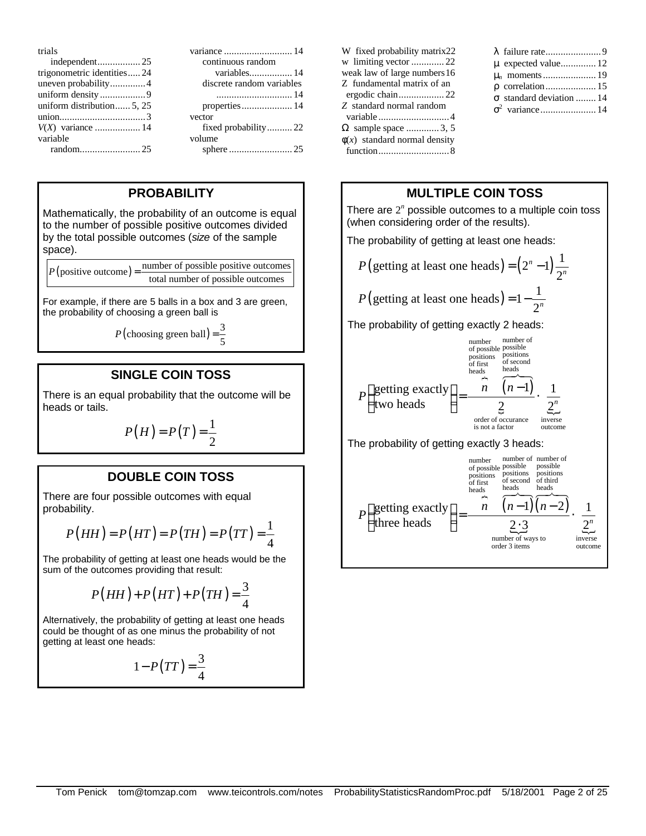| trials                     |                           |
|----------------------------|---------------------------|
|                            | continuous random         |
| trigonometric identities24 | variables 14              |
| uneven probability4        | discrete random variables |
|                            |                           |
| uniform distribution 5, 25 | properties 14             |
|                            | vector                    |
|                            | fixed probability22       |
| variable                   | volume                    |
|                            |                           |

# **PROBABILITY**

Mathematically, the probability of an outcome is equal to the number of possible positive outcomes divided by the total possible outcomes (*size* of the sample space).

 $P(\text{positive outcome}) = \frac{\text{number of possible positive outcomes}}{P(\text{positive outcomes})}$ total number of possible outcomes

For example, if there are 5 balls in a box and 3 are green, the probability of choosing a green ball is

 $P(\text{choosing green ball}) = \frac{3}{5}$ 

# **SINGLE COIN TOSS**

There is an equal probability that the outcome will be heads or tails.

$$
P(H) = P(T) = \frac{1}{2}
$$

## **DOUBLE COIN TOSS**

There are four possible outcomes with equal probability.

$$
P(HH) = P(HT) = P(TH) = P(TT) = \frac{1}{4}
$$

The probability of getting at least one heads would be the sum of the outcomes providing that result:

$$
P(HH) + P(HT) + P(TH) = \frac{3}{4}
$$

Alternatively, the probability of getting at least one heads could be thought of as one minus the probability of not getting at least one heads:

$$
1 - P(TT) = \frac{3}{4}
$$

| W fixed probability matrix22      |
|-----------------------------------|
| w limiting vector 22              |
| weak law of large numbers 16      |
| Z fundamental matrix of an        |
|                                   |
| Z standard normal random          |
|                                   |
| $\Omega$ sample space 3, 5        |
| $\phi(x)$ standard normal density |
|                                   |

# **MULTIPLE COIN TOSS**

There are  $2<sup>n</sup>$  possible outcomes to a multiple coin toss (when considering order of the results).

The probability of getting at least one heads:

$$
P(\text{getting at least one heads}) = (2^n - 1)\frac{1}{2^n}
$$

$$
P(\text{getting at least one heads}) = 1 - \frac{1}{2^n}
$$

The probability of getting exactly 2 heads:



The probability of getting exactly 3 heads:

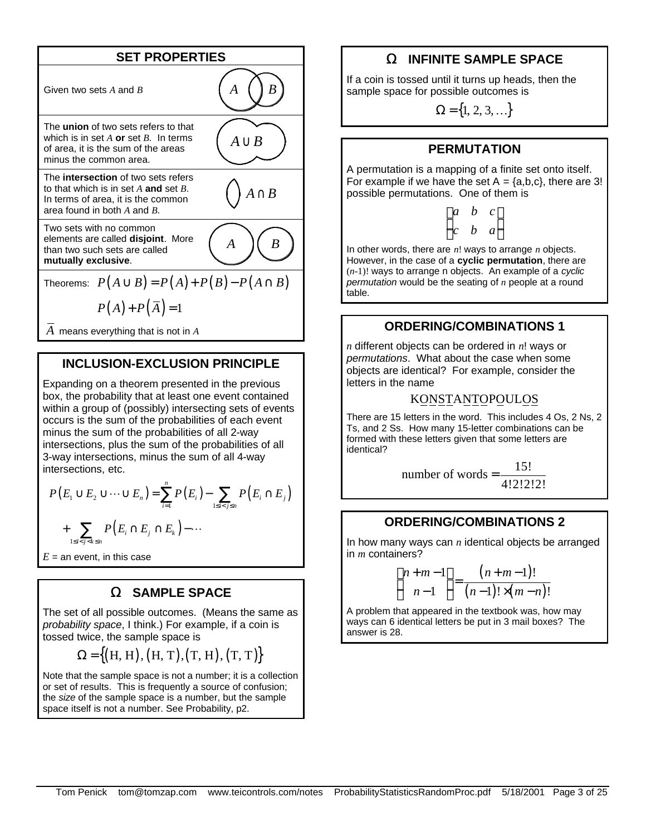

*A* means everything that is not in *A*

## **INCLUSION-EXCLUSION PRINCIPLE**

Expanding on a theorem presented in the previous box, the probability that at least one event contained within a group of (possibly) intersecting sets of events occurs is the sum of the probabilities of each event minus the sum of the probabilities of all 2-way intersections, plus the sum of the probabilities of all 3-way intersections, minus the sum of all 4-way intersections, etc.

$$
P(E_1 \cup E_2 \cup \dots \cup E_n) = \sum_{i=1}^n P(E_i) - \sum_{1 \le i < j \le n} P(E_i \cap E_j)
$$

$$
+ \sum_{1 \le i < j < k \le n} P(E_i \cap E_j \cap E_k) - \dots
$$

 $E =$  an event, in this case

#### **W SAMPLE SPACE**

The set of all possible outcomes. (Means the same as *probability space*, I think.) For example, if a coin is tossed twice, the sample space is

$$
\Omega = \{(H, H), (H, T), (T, H), (T, T)\}
$$

Note that the sample space is not a number; it is a collection or set of results. This is frequently a source of confusion; the *size* of the sample space is a number, but the sample space itself is not a number. See Probability, p2.

# **W INFINITE SAMPLE SPACE**

If a coin is tossed until it turns up heads, then the sample space for possible outcomes is

 $\Omega = \{1, 2, 3, ...\}$ 

#### **PERMUTATION**

A permutation is a mapping of a finite set onto itself. For example if we have the set  $A = \{a,b,c\}$ , there are 3! possible permutations. One of them is

$$
\begin{pmatrix} a & b & c \\ c & b & a \end{pmatrix}
$$

In other words, there are *n*! ways to arrange *n* objects. However, in the case of a **cyclic permutation**, there are (*n*-1)! ways to arrange n objects. An example of a *cyclic permutation* would be the seating of *n* people at a round table.

#### **ORDERING/COMBINATIONS 1**

*n* different objects can be ordered in *n*! ways or *permutations*. What about the case when some objects are identical? For example, consider the letters in the name

#### KONSTANTOPOULOS

There are 15 letters in the word. This includes 4 Os, 2 Ns, 2 Ts, and 2 Ss. How many 15-letter combinations can be formed with these letters given that some letters are identical?

number of words 
$$
=
$$
  $\frac{15!}{4!2!2!2!}$ 

#### **ORDERING/COMBINATIONS 2**

In how many ways can *n* identical objects be arranged in *m* containers?

$$
\binom{n+m-1}{n-1} = \frac{(n+m-1)!}{(n-1)! \times (m-n)!}
$$

A problem that appeared in the textbook was, how may ways can 6 identical letters be put in 3 mail boxes? The answer is 28.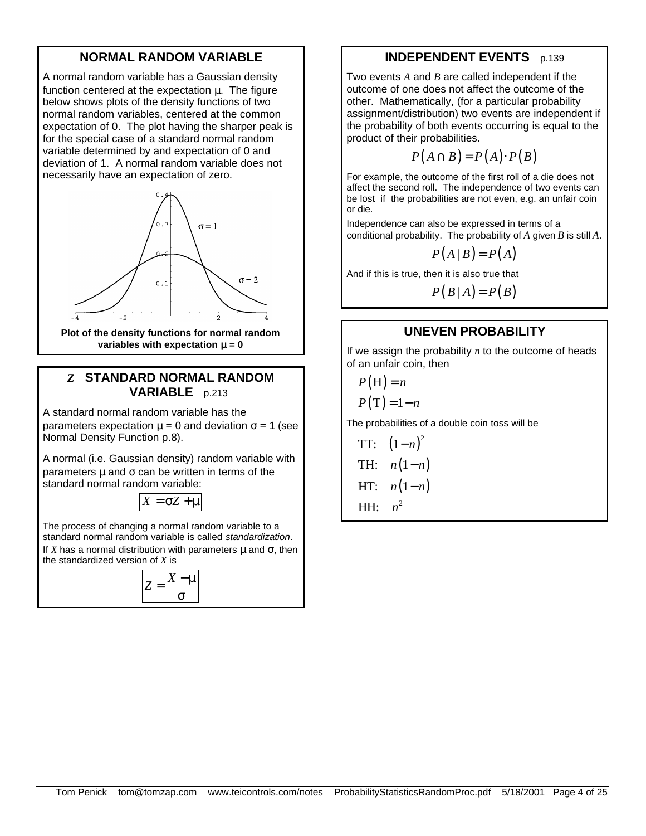# **NORMAL RANDOM VARIABLE**

A normal random variable has a Gaussian density function centered at the expectation μ. The figure below shows plots of the density functions of two normal random variables, centered at the common expectation of 0. The plot having the sharper peak is for the special case of a standard normal random variable determined by and expectation of 0 and deviation of 1. A normal random variable does not necessarily have an expectation of zero.



**variables with expectation <b>m** = 0

## *Z* **STANDARD NORMAL RANDOM VARIABLE** p.213

A standard normal random variable has the parameters expectation  $\mu = 0$  and deviation  $\sigma = 1$  (see Normal Density Function p.8).

A normal (i.e. Gaussian density) random variable with parameters  $\mu$  and  $\sigma$  can be written in terms of the standard normal random variable:

 $X = \sigma Z + \mu$ 

The process of changing a normal random variable to a standard normal random variable is called *standardization*. If *X* has a normal distribution with parameters  $\mu$  and  $\sigma$ , then the standardized version of *X* is

$$
Z = \frac{X - \mu}{\sigma}
$$

# **INDEPENDENT EVENTS** p.139

Two events *A* and *B* are called independent if the outcome of one does not affect the outcome of the other. Mathematically, (for a particular probability assignment/distribution) two events are independent if the probability of both events occurring is equal to the product of their probabilities.

$$
P(A \cap B) = P(A) \cdot P(B)
$$

For example, the outcome of the first roll of a die does not affect the second roll. The independence of two events can be lost if the probabilities are not even, e.g. an unfair coin or die.

Independence can also be expressed in terms of a conditional probability. The probability of *A* given *B* is still *A*.

$$
P(A | B) = P(A)
$$

And if this is true, then it is also true that

 $P(B|A) = P(B)$ 

# **UNEVEN PROBABILITY**

If we assign the probability *n* to the outcome of heads of an unfair coin, then

 $P(H) = n$ 

$$
P(T)=1-n
$$

The probabilities of a double coin toss will be

TT: 
$$
(1-n)^2
$$
TH: 
$$
n(1-n)
$$
HT: 
$$
n(1-n)
$$
HH: 
$$
n^2
$$

Tom Penick tom@tomzap.com www.teicontrols.com/notes ProbabilityStatisticsRandomProc.pdf 5/18/2001 Page 4 of 25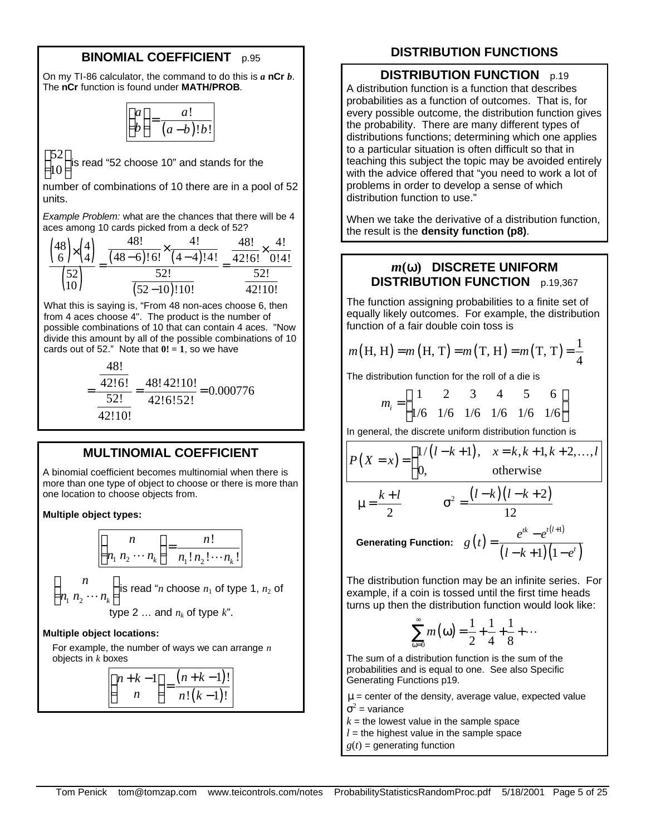# **BINOMIAL COEFFICIENT** p.95

On my TI-86 calculator, the command to do this is *a* **nCr** *b*. The **nCr** function is found under **MATH/PROB**.

| п. | a            |
|----|--------------|
|    | $b$ !! $b$ ! |

52 10 is read "52 choose 10" and stands for the

number of combinations of 10 there are in a pool of 52 units.

*Example Problem:* what are the chances that there will be 4 aces among 10 cards picked from a deck of 52?

|                                       | 48!           |            | 481    | 4١   |
|---------------------------------------|---------------|------------|--------|------|
| ${48 \choose 6} \times {4 \choose 4}$ | $(48-6)!6!$   | $(4-4)!4!$ | 42!6!  | 0!4! |
| $\binom{52}{10}$                      | 52!           |            | 52!    |      |
|                                       | $(52-10)!10!$ |            | 42!10! |      |

What this is saying is, "From 48 non-aces choose 6, then from 4 aces choose 4". The product is the number of possible combinations of 10 that can contain 4 aces. "Now divide this amount by all of the possible combinations of 10 cards out of 52." Note that  $0! = 1$ , so we have

$$
=\frac{\frac{48!}{42!6!}}{\frac{52!}{42!0!}} = \frac{48!42!10!}{42!6!52!} = 0.000776
$$

# **MULTINOMIAL COEFFICIENT**

A binomial coefficient becomes multinomial when there is more than one type of object to choose or there is more than one location to choose objects from.

#### **Multiple object types:**

$$
\binom{n}{n_1 n_2 \cdots n_k} = \frac{n!}{n_1! n_2! \cdots n_k!}
$$
\n
$$
\binom{n}{n_1 n_2 \cdots n_k}
$$
 is read "n choose  $n_1$  of type 1,  $n_2$  of type 2 ... and  $n_k$  of type k".

#### **Multiple object locations:**

For example, the number of ways we can arrange *n* objects in *k* boxes

$$
\binom{n+k-1}{n} = \frac{(n+k-1)!}{n!(k-1)!}
$$

# **DISTRIBUTION FUNCTIONS**

#### **DISTRIBUTION FUNCTION** p.19

A distribution function is a function that describes probabilities as a function of outcomes. That is, for every possible outcome, the distribution function gives the probability. There are many different types of distributions functions; determining which one applies to a particular situation is often difficult so that in teaching this subject the topic may be avoided entirely with the advice offered that "you need to work a lot of problems in order to develop a sense of which distribution function to use."

When we take the derivative of a distribution function, the result is the **density function (p8)**.

# *m***(w) DISCRETE UNIFORM DISTRIBUTION FUNCTION** p.19,367

The function assigning probabilities to a finite set of equally likely outcomes. For example, the distribution function of a fair double coin toss is

$$
m(H, H) = m(H, T) = m(T, H) = m(T, T) = \frac{1}{4}
$$

The distribution function for the roll of a die is

$$
m_i = \begin{pmatrix} 1 & 2 & 3 & 4 & 5 & 6 \\ 1/6 & 1/6 & 1/6 & 1/6 & 1/6 & 1/6 \end{pmatrix}
$$

In general, the discrete uniform distribution function is

$$
P(X = x) = \begin{cases} 1/(l - k + 1), & x = k, k + 1, k + 2, ..., l \\ 0, & \text{otherwise} \end{cases}
$$
  

$$
\mu = \frac{k + l}{2} \qquad \sigma^2 = \frac{(l - k)(l - k + 2)}{12}
$$
  
Generating Function:  $g(t) = \frac{e^{tk} - e^{t(l + 1)}}{(l - k + 1)(1 - e^t)}$ 

The distribution function may be an infinite series. For example, if a coin is tossed until the first time heads turns up then the distribution function would look like:

$$
\sum_{\omega=0}^{\infty} m(\omega) = \frac{1}{2} + \frac{1}{4} + \frac{1}{8} + \cdots
$$

The sum of a distribution function is the sum of the probabilities and is equal to one. See also Specific Generating Functions p19.

 $\mu$  = center of the density, average value, expected value  $\sigma^2$  = variance

 $k =$  the lowest value in the sample space

 $l =$  the highest value in the sample space

 $g(t)$  = generating function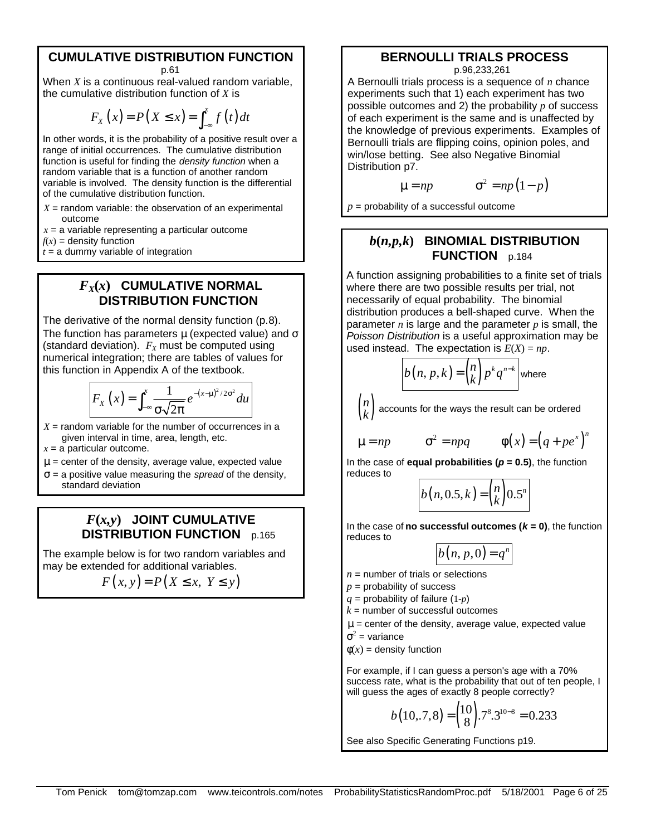#### **CUMULATIVE DISTRIBUTION FUNCTION**  p.61

When *X* is a continuous real-valued random variable, the cumulative distribution function of *X* is

$$
F_X(x) = P(X \le x) = \int_{-\infty}^x f(t) dt
$$

In other words, it is the probability of a positive result over a range of initial occurrences. The cumulative distribution function is useful for finding the *density function* when a random variable that is a function of another random variable is involved. The density function is the differential of the cumulative distribution function.

 $X =$  random variable: the observation of an experimental outcome

 $x = a$  variable representing a particular outcome

 $f(x)$  = density function

 $t = a$  dummy variable of integration

#### $F_X(x)$  CUMULATIVE NORMAL **DISTRIBUTION FUNCTION**

The derivative of the normal density function (p.8). The function has parameters  $\mu$  (expected value) and  $\sigma$ (standard deviation).  $F_X$  must be computed using numerical integration; there are tables of values for this function in Appendix A of the textbook.

$$
F_X(x) = \int_{-\infty}^x \frac{1}{\sigma \sqrt{2\pi}} e^{-(x-\mu)^2/2\sigma^2} du
$$

 $X =$  random variable for the number of occurrences in a given interval in time, area, length, etc.

 $x = a$  particular outcome.

- $\mu$  = center of the density, average value, expected value
- σ = a positive value measuring the *spread* of the density, standard deviation

# $F(x,y)$  JOINT CUMULATIVE **DISTRIBUTION FUNCTION** p.165

The example below is for two random variables and may be extended for additional variables.

 $F(x, y) = P(X \leq x, Y \leq y)$ 

#### **BERNOULLI TRIALS PROCESS**  p.96,233,261

A Bernoulli trials process is a sequence of *n* chance experiments such that 1) each experiment has two possible outcomes and 2) the probability *p* of success of each experiment is the same and is unaffected by the knowledge of previous experiments. Examples of Bernoulli trials are flipping coins, opinion poles, and win/lose betting. See also Negative Binomial Distribution p7.

$$
\mu = np \qquad \qquad \sigma^2 = np(1-p)
$$

 $p =$  probability of a successful outcome

# $b(n,p,k)$  **BINOMIAL DISTRIBUTION FUNCTION** p.184

A function assigning probabilities to a finite set of trials where there are two possible results per trial, not necessarily of equal probability. The binomial distribution produces a bell-shaped curve. When the parameter *n* is large and the parameter *p* is small, the *Poisson Distribution* is a useful approximation may be used instead. The expectation is  $E(X) = np$ .

$$
b(n, p, k) = {n \choose k} p^{k} q^{n-k}
$$
 where

 $\binom{r}{k}$ *n k* accounts for the ways the result can be ordered

 $\mu = np$   $\sigma^2 = npq$ 

$$
\Phi(x) = (q + pe^x)^n
$$

In the case of **equal probabilities (** $p = 0.5$ **)**, the function reduces to

$$
b(n,0.5,k) = {n \choose k} 0.5^n
$$

In the case of **no successful outcomes (** $k = 0$ **)**, the function reduces to

$$
b(n, p, 0) = q^n
$$

- $n =$  number of trials or selections
- $p =$  probability of success
- *q* = probability of failure (1-*p*)
- $k =$  number of successful outcomes

 $\mu$  = center of the density, average value, expected value

 $\sigma^2$  = variance

 $\phi(x)$  = density function

For example, if I can guess a person's age with a 70% success rate, what is the probability that out of ten people, I will guess the ages of exactly 8 people correctly?

$$
b(10, .7, 8) = {10 \choose 8} .7^{8} .3^{10-8} = 0.233
$$

See also Specific Generating Functions p19.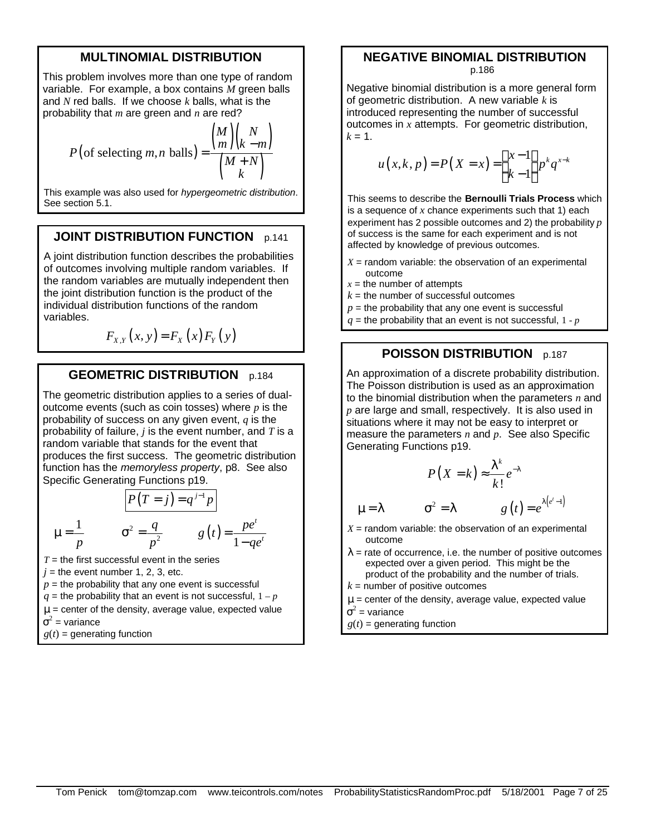# **MULTINOMIAL DISTRIBUTION**

This problem involves more than one type of random variable. For example, a box contains *M* green balls and *N* red balls. If we choose *k* balls, what is the probability that *m* are green and *n* are red?

$$
P\left(\text{of selecting } m, n \text{ balls}\right) = \frac{\binom{M}{m}\binom{N}{k-m}}{\binom{M+N}{k}}
$$

This example was also used for *hypergeometric distribution*. See section 5.1.

## **JOINT DISTRIBUTION FUNCTION** p.141

A joint distribution function describes the probabilities of outcomes involving multiple random variables. If the random variables are mutually independent then the joint distribution function is the product of the individual distribution functions of the random variables.

$$
F_{X,Y}(x, y) = F_X(x) F_Y(y)
$$

#### **GEOMETRIC DISTRIBUTION** p.184

The geometric distribution applies to a series of dualoutcome events (such as coin tosses) where *p* is the probability of success on any given event, *q* is the probability of failure, *j* is the event number, and *T* is a random variable that stands for the event that produces the first success. The geometric distribution function has the *memoryless property*, p8. See also Specific Generating Functions p19.

$$
\mu = \frac{1}{p} \qquad \sigma^2 = \frac{q}{p^2} \qquad g(t) = \frac{pe^t}{1 - qe^t}
$$

 $T =$  the first successful event in the series

- $j =$  the event number 1, 2, 3, etc.
- $p =$  the probability that any one event is successful
- $q$  = the probability that an event is not successful,  $1 p$
- $\mu$  = center of the density, average value, expected value
- $\sigma^2$  = variance
- $g(t)$  = generating function

# **NEGATIVE BINOMIAL DISTRIBUTION**  p.186

Negative binomial distribution is a more general form of geometric distribution. A new variable  $k$  is introduced representing the number of successful outcomes in *x* attempts. For geometric distribution,  $k = 1$ .

$$
u(x, k, p) = P(X = x) = {x-1 \choose k-1} p^{k} q^{x-k}
$$

This seems to describe the **Bernoulli Trials Process** which is a sequence of *x* chance experiments such that 1) each experiment has 2 possible outcomes and 2) the probability *p* of success is the same for each experiment and is not affected by knowledge of previous outcomes.

- $X =$  random variable: the observation of an experimental outcome
- $x =$  the number of attempts
- $k =$  the number of successful outcomes
- $p =$  the probability that any one event is successful
- $q$  = the probability that an event is not successful,  $1 p$

# **POISSON DISTRIBUTION** p.187

An approximation of a discrete probability distribution. The Poisson distribution is used as an approximation to the binomial distribution when the parameters *n* and *p* are large and small, respectively. It is also used in situations where it may not be easy to interpret or measure the parameters *n* and *p*. See also Specific Generating Functions p19.

$$
P(X = k) \approx \frac{\lambda^k}{k!} e^{-\lambda}
$$

 $g(t) = e^{\lambda(e^t-1)}$ 

$$
\mu = \lambda
$$

 $X =$  random variable: the observation of an experimental outcome

 $\sigma^2 = \lambda$ 

- $\lambda$  = rate of occurrence, i.e. the number of positive outcomes expected over a given period. This might be the product of the probability and the number of trials.
- $k =$  number of positive outcomes
- $\mu$  = center of the density, average value, expected value
- $\sigma^2$  = variance
- $g(t)$  = generating function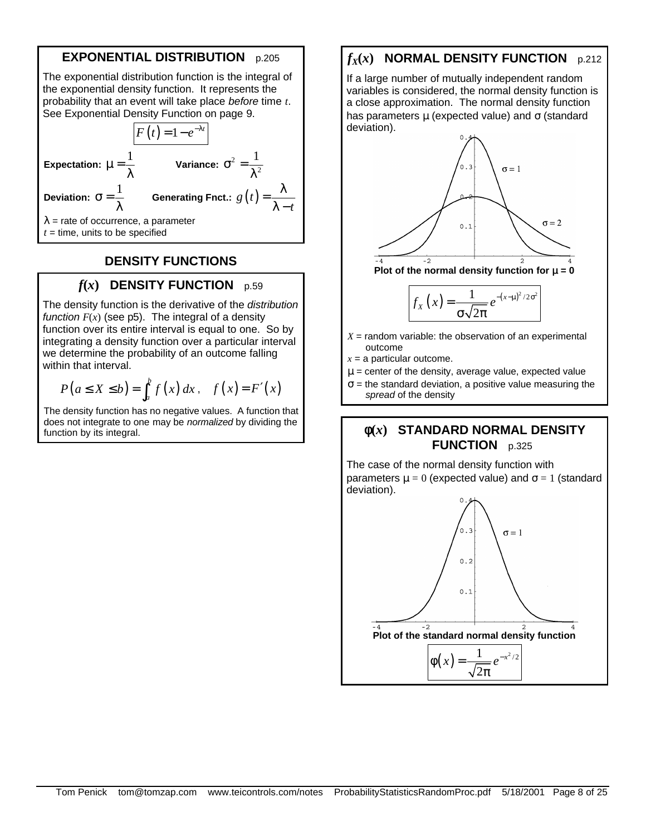# **EXPONENTIAL DISTRIBUTION** p.205

The exponential distribution function is the integral of the exponential density function. It represents the probability that an event will take place *before* time *t*. See Exponential Density Function on page 9.  $F(t) = 1 - e^{-\lambda t}$ **Expectation:**  $\mu = \frac{1}{2}$ λ **Variance:**  $\sigma^2 = \frac{1}{2}$  $\sigma^2 = \frac{1}{\sigma^2}$ λ **Deviation:**  $\sigma = \frac{1}{2}$ λ **Generating Fnct.:**  $g(t)$ *t*  $=\frac{\lambda}{2}$  $\lambda$   $\lambda$  = rate of occurrence, a parameter  $t =$  time, units to be specified

## **DENSITY FUNCTIONS**

#### $f(x)$  **DENSITY FUNCTION**  $p.59$

The density function is the derivative of the *distribution function*  $F(x)$  (see p5). The integral of a density function over its entire interval is equal to one. So by integrating a density function over a particular interval we determine the probability of an outcome falling within that interval.

$$
P(a \le X \le b) = \int_a^b f(x) dx, \quad f(x) = F'(x)
$$

The density function has no negative values. A function that does not integrate to one may be *normalized* by dividing the function by its integral.

# $f_X(x)$  **NORMAL DENSITY FUNCTION**  $p.212$

If a large number of mutually independent random variables is considered, the normal density function is a close approximation. The normal density function has parameters  $\mu$  (expected value) and  $\sigma$  (standard deviation).



Plot of the normal density function for **m**= 0

$$
f_X(x) = \frac{1}{\sigma \sqrt{2\pi}} e^{-(x-\mu)^2/2\sigma^2}
$$

 $X =$  random variable: the observation of an experimental outcome

 $x = a$  particular outcome.

- $\mu$  = center of the density, average value, expected value
- $\sigma$  = the standard deviation, a positive value measuring the *spread* of the density

## **f(***x***) STANDARD NORMAL DENSITY FUNCTION** p.325

The case of the normal density function with parameters  $\mu = 0$  (expected value) and  $\sigma = 1$  (standard deviation).

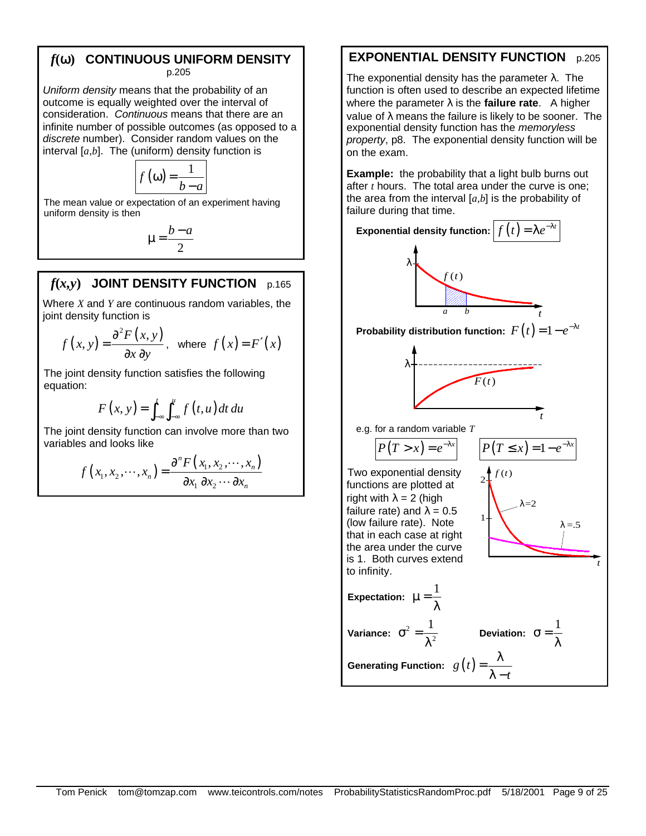# *f***(w) CONTINUOUS UNIFORM DENSITY**

p.205

*Uniform density* means that the probability of an outcome is equally weighted over the interval of consideration. *Continuous* means that there are an infinite number of possible outcomes (as opposed to a *discrete* number). Consider random values on the interval [*a*,*b*]. The (uniform) density function is

$$
f(\omega) = \frac{1}{b-a}
$$

The mean value or expectation of an experiment having uniform density is then

$$
\mu = \frac{b-a}{2}
$$

# $f(x,y)$  JOINT DENSITY FUNCTION  $p.165$

Where *X* and *Y* are continuous random variables, the joint density function is

$$
f(x, y) = \frac{\partial^2 F(x, y)}{\partial x \partial y}
$$
, where  $f(x) = F'(x)$ 

The joint density function satisfies the following equation:

$$
F(x, y) = \int_{-\infty}^{t} \int_{-\infty}^{u} f(t, u) dt du
$$

The joint density function can involve more than two variables and looks like

$$
f(x_1, x_2, \cdots, x_n) = \frac{\partial^n F(x_1, x_2, \cdots, x_n)}{\partial x_1 \partial x_2 \cdots \partial x_n}
$$

# **EXPONENTIAL DENSITY FUNCTION** p.205

The exponential density has the parameter  $\lambda$ . The function is often used to describe an expected lifetime where the parameter  $\lambda$  is the **failure rate**. A higher value of  $\lambda$  means the failure is likely to be sooner. The exponential density function has the *memoryless property*, p8. The exponential density function will be on the exam.

**Example:** the probability that a light bulb burns out after *t* hours. The total area under the curve is one; the area from the interval [*a,b*] is the probability of failure during that time.

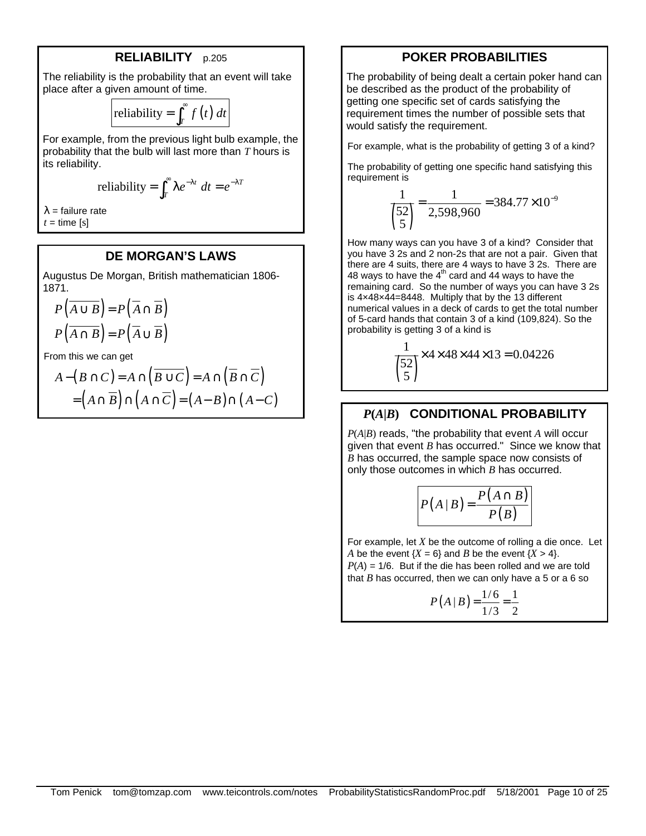#### **RELIABILITY** p.205

The reliability is the probability that an event will take place after a given amount of time.

reliability = 
$$
\int_T^{\infty} f(t) dt
$$

For example, from the previous light bulb example, the probability that the bulb will last more than *T* hours is its reliability.

reliability = 
$$
\int_T^{\infty} \lambda e^{-\lambda t} dt = e^{-\lambda T}
$$

 $\lambda$  = failure rate  $t =$  time [s]

#### **DE MORGAN'S LAWS**

Augustus De Morgan, British mathematician 1806- 1871.

$$
P(\overline{A \cup B}) = P(\overline{A} \cap \overline{B})
$$

$$
P(\overline{A \cap B}) = P(\overline{A} \cup \overline{B})
$$

From this we can get

$$
A - (B \cap C) = A \cap (\overline{B \cup C}) = A \cap (\overline{B} \cap \overline{C})
$$
  
=  $(A \cap \overline{B}) \cap (A \cap \overline{C}) = (A - B) \cap (A - C)$ 

#### **POKER PROBABILITIES**

The probability of being dealt a certain poker hand can be described as the product of the probability of getting one specific set of cards satisfying the requirement times the number of possible sets that would satisfy the requirement.

For example, what is the probability of getting 3 of a kind?

The probability of getting one specific hand satisfying this requirement is

$$
\frac{1}{\binom{52}{5}} = \frac{1}{2,598,960} = 384.77 \times 10^{-9}
$$

How many ways can you have 3 of a kind? Consider that you have 3 2s and 2 non-2s that are not a pair. Given that there are 4 suits, there are 4 ways to have 3 2s. There are 48 ways to have the  $4<sup>th</sup>$  card and 44 ways to have the remaining card. So the number of ways you can have 3 2s is 4×48×44=8448. Multiply that by the 13 different numerical values in a deck of cards to get the total number of 5-card hands that contain 3 of a kind (109,824). So the probability is getting 3 of a kind is

> $\binom{6}{5}$ 1  $\times$ 4 $\times$ 48 $\times$ 44 $\times$ 13 = 0.04226 52

#### *P***(***A***|***B***) CONDITIONAL PROBABILITY**

*P*(*A*|*B*) reads, "the probability that event *A* will occur given that event *B* has occurred." Since we know that *B* has occurred, the sample space now consists of only those outcomes in which *B* has occurred.

$$
P(A | B) = \frac{P(A \cap B)}{P(B)}
$$

For example, let *X* be the outcome of rolling a die once. Let *A* be the event  ${X = 6}$  and *B* be the event  ${X > 4}$ .  $P(A) = 1/6$ . But if the die has been rolled and we are told that  $B$  has occurred, then we can only have a  $5$  or a  $6$  so

$$
P(A \mid B) = \frac{1/6}{1/3} = \frac{1}{2}
$$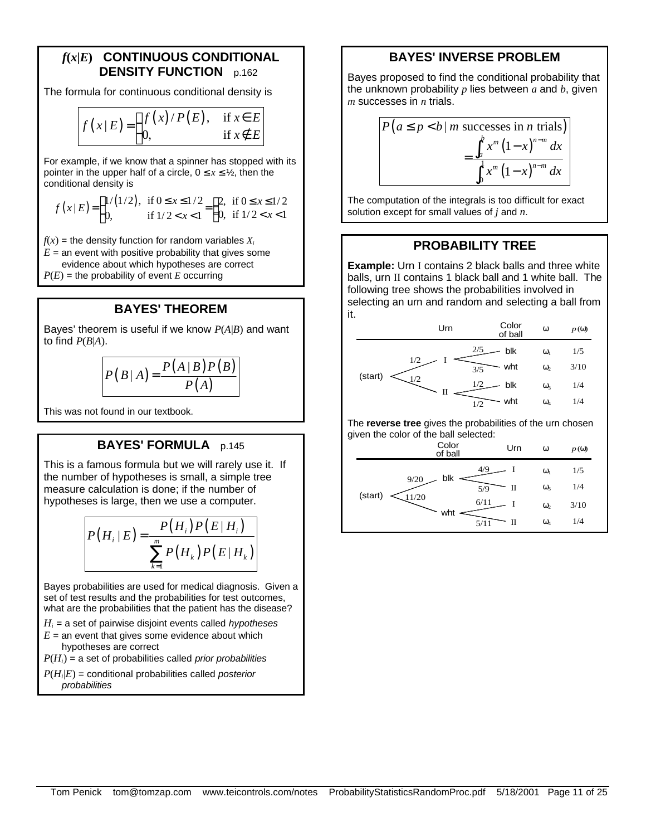## *f***(***x***|***E***) CONTINUOUS CONDITIONAL DENSITY FUNCTION** p.162

The formula for continuous conditional density is

$$
f(x|E) = \begin{cases} f(x)/P(E), & \text{if } x \in E \\ 0, & \text{if } x \notin E \end{cases}
$$

For example, if we know that a spinner has stopped with its pointer in the upper half of a circle,  $0 \le x \le \frac{1}{2}$ , then the conditional density is

$$
f(x|E) = \begin{cases} 1/(1/2), & \text{if } 0 \le x \le 1/2\\ 0, & \text{if } 1/2 < x < 1 \end{cases} = \begin{cases} 2, & \text{if } 0 \le x \le 1/2\\ 0, & \text{if } 1/2 < x < 1 \end{cases}
$$

 $f(x)$  = the density function for random variables  $X_i$ 

 $E =$  an event with positive probability that gives some evidence about which hypotheses are correct  $P(E)$  = the probability of event *E* occurring

## **BAYES' THEOREM**

Bayes' theorem is useful if we know *P*(*A*|*B*) and want to find  $P(B|A)$ .

$$
P(B|A) = \frac{P(A|B)P(B)}{P(A)}
$$

This was not found in our textbook.

#### **BAYES' FORMULA** p.145

This is a famous formula but we will rarely use it. If the number of hypotheses is small, a simple tree measure calculation is done; if the number of hypotheses is large, then we use a computer.

$$
P(H_i | E) = \frac{P(H_i) P(E | H_i)}{\sum_{k=1}^{m} P(H_k) P(E | H_k)}
$$

Bayes probabilities are used for medical diagnosis. Given a set of test results and the probabilities for test outcomes, what are the probabilities that the patient has the disease?

- *Hi* = a set of pairwise disjoint events called *hypotheses*
- $E =$  an event that gives some evidence about which hypotheses are correct

*P*(*Hi*) = a set of probabilities called *prior probabilities*

*P*(*H<sup>i</sup>* |*E*) = conditional probabilities called *posterior probabilities*

# **BAYES' INVERSE PROBLEM**

Bayes proposed to find the conditional probability that the unknown probability *p* lies between *a* and *b*, given *m* successes in *n* trials.

$$
P\left(a \le p < b \mid m \text{ successes in } n \text{ trials}\right) = \frac{\int_a^b x^m \left(1 - x\right)^{n-m} dx}{\int_0^1 x^m \left(1 - x\right)^{n-m} dx}
$$

The computation of the integrals is too difficult for exact solution except for small values of *j* and *n*.

## **PROBABILITY TREE**

**Example:** Urn I contains 2 black balls and three white balls, urn II contains 1 black ball and 1 white ball. The following tree shows the probabilities involved in selecting an urn and random and selecting a ball from it.



The **reverse tree** gives the probabilities of the urn chosen given the color of the ball selected:

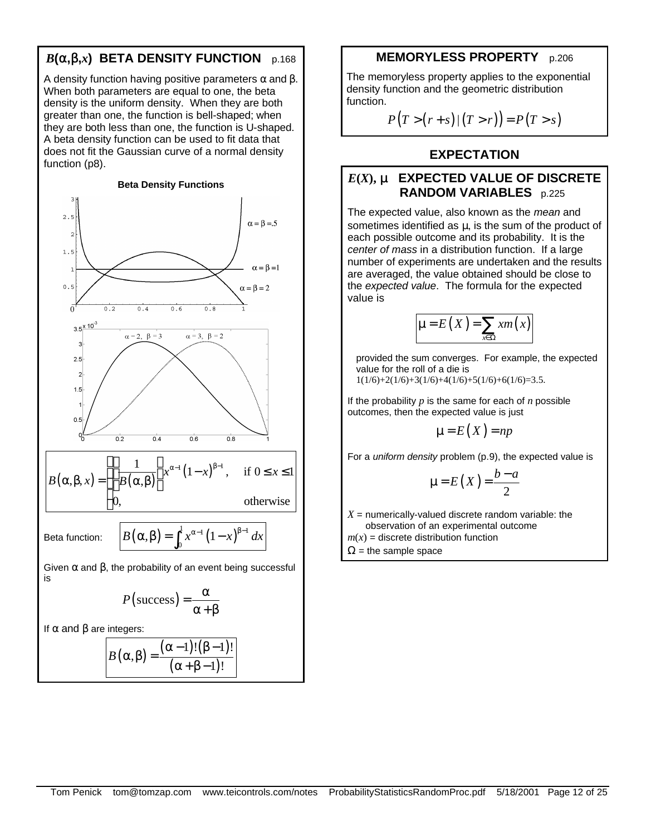# $B(\mathbf{a}, \mathbf{b}, x)$  **BETA DENSITY FUNCTION** p.168

A density function having positive parameters  $\alpha$  and  $\beta$ . When both parameters are equal to one, the beta density is the uniform density. When they are both greater than one, the function is bell-shaped; when they are both less than one, the function is U-shaped. A beta density function can be used to fit data that does not fit the Gaussian curve of a normal density function (p8).

#### **Beta Density Functions**



$$
P(\text{success}) = \frac{\alpha}{\alpha + \beta}
$$

If  $α$  and  $β$  are integers:

$$
B(\alpha,\beta) = \frac{(\alpha-1)!(\beta-1)!}{(\alpha+\beta-1)!}
$$

## **MEMORYLESS PROPERTY** p.206

The memoryless property applies to the exponential density function and the geometric distribution function.

 $P(T > (r + s) | (T > r)) = P(T > s)$ 

# **EXPECTATION**

# *E***(***X***), m EXPECTED VALUE OF DISCRETE RANDOM VARIABLES** p.225

The expected value, also known as the *mean* and sometimes identified as  $\mu$ , is the sum of the product of each possible outcome and its probability. It is the *center of mass* in a distribution function. If a large number of experiments are undertaken and the results are averaged, the value obtained should be close to the *expected value*. The formula for the expected value is

$$
\mu = E(X) = \sum_{x \in \Omega} x m(x)
$$

provided the sum converges. For example, the expected value for the roll of a die is  $1(1/6)+2(1/6)+3(1/6)+4(1/6)+5(1/6)+6(1/6)=3.5.$ 

If the probability *p* is the same for each of *n* possible outcomes, then the expected value is just

$$
\mu = E(X) = np
$$

For a *uniform density* problem (p.9), the expected value is

$$
\mu = E(X) = \frac{b-a}{2}
$$

 $X =$  numerically-valued discrete random variable: the observation of an experimental outcome

 $m(x)$  = discrete distribution function

 $\Omega$  = the sample space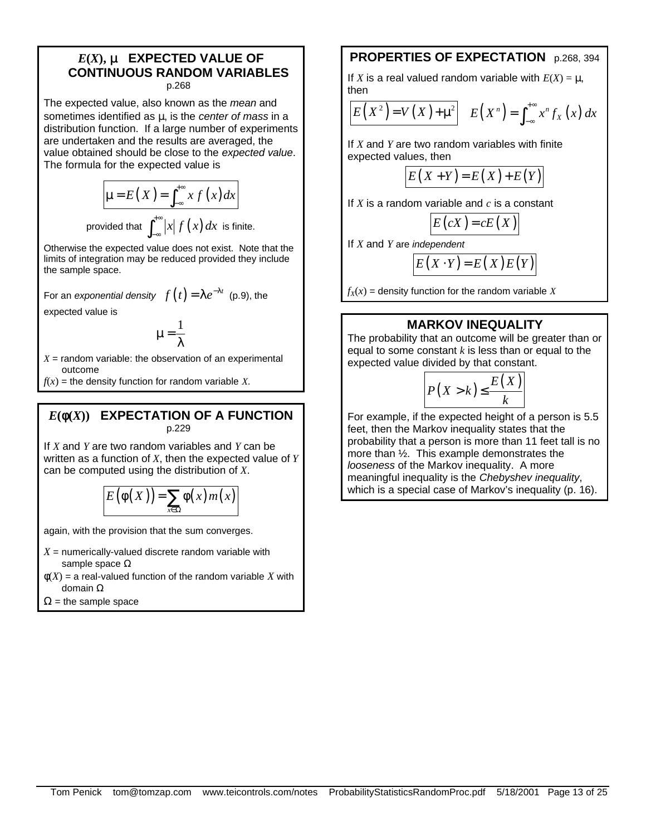#### $E(X)$ , **m EXPECTED VALUE OF CONTINUOUS RANDOM VARIABLES** p.268

The expected value, also known as the *mean* and sometimes identified as μ, is the *center of mass* in a distribution function. If a large number of experiments are undertaken and the results are averaged, the value obtained should be close to the *expected value*. The formula for the expected value is

$$
\mu = E(X) = \int_{-\infty}^{+\infty} x f(x) dx
$$
  
provided that 
$$
\int_{-\infty}^{+\infty} |x| f(x) dx
$$
 is finite.

Otherwise the expected value does not exist. Note that the limits of integration may be reduced provided they include the sample space.

For an *exponential density*  $f(t) = \lambda e^{-\lambda t}$  (p.9), the

expected value is

$$
\mu=\frac{1}{\lambda}
$$

 $X =$  random variable: the observation of an experimental outcome

 $f(x)$  = the density function for random variable *X*.

#### $E(f(X))$  **EXPECTATION OF A FUNCTION** p.229

If *X* and *Y* are two random variables and *Y* can be written as a function of *X*, then the expected value of *Y* can be computed using the distribution of *X*.

$$
E(\phi(X)) = \sum_{x \in \Omega} \phi(x) m(x)
$$

again, with the provision that the sum converges.

- $X =$  numerically-valued discrete random variable with sample space Ω
- $\phi(X)$  = a real-valued function of the random variable X with domain Ω
- $\Omega$  = the sample space

# **PROPERTIES OF EXPECTATION** p.268, 394

If *X* is a real valued random variable with  $E(X) = \mu$ , then

$$
E(X^{2})=V(X)+\mu^{2}\qquad E(X^{n})=\int_{-\infty}^{+\infty}x^{n}f_{X}(x)dx
$$

If *X* and *Y* are two random variables with finite expected values, then

$$
E(X+Y) = E(X) + E(Y)
$$

If *X* is a random variable and *c* is a constant

$$
E(cX) = cE(X)
$$

If *X* and *Y* are *independent*

$$
E(X \cdot Y) = E(X)E(Y)
$$

 $f_X(x)$  = density function for the random variable *X* 

# **MARKOV INEQUALITY**

The probability that an outcome will be greater than or equal to some constant *k* is less than or equal to the expected value divided by that constant.

$$
P(X > k) \le \frac{E(X)}{k}
$$

For example, if the expected height of a person is 5.5 feet, then the Markov inequality states that the probability that a person is more than 11 feet tall is no more than ½. This example demonstrates the *looseness* of the Markov inequality. A more meaningful inequality is the *Chebyshev inequality*, which is a special case of Markov's inequality (p. 16).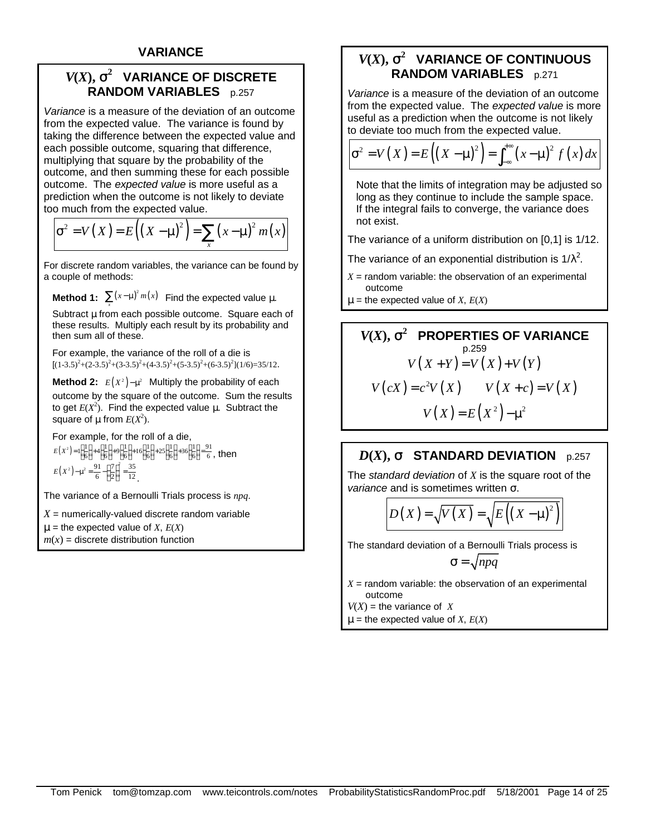# $V(X)$ ,  $\mathbf{s}^2$  VARIANCE OF DISCRETE **RANDOM VARIABLES** p.257

*Variance* is a measure of the deviation of an outcome from the expected value. The variance is found by taking the difference between the expected value and each possible outcome, squaring that difference, multiplying that square by the probability of the outcome, and then summing these for each possible outcome. The *expected value* is more useful as a prediction when the outcome is not likely to deviate too much from the expected value.

$$
\sigma^{2} = V(X) = E\left(\left(X - \mu\right)^{2}\right) = \sum_{x} \left(x - \mu\right)^{2} m(x)
$$

For discrete random variables, the variance can be found by a couple of methods:

**Method 1:**  $\sum (x-\mu)^2 m(x)$  Find the expected value  $\mu$ .

*x* Subtract μ from each possible outcome. Square each of these results. Multiply each result by its probability and then sum all of these.

For example, the variance of the roll of a die is  $[(1-3.5)^{2}+(2-3.5)^{2}+(3-3.5)^{2}+(4-3.5)^{2}+(5-3.5)^{2}+(6-3.5)^{2}](1/6)=35/12.$ 

**Method 2:**  $E(X^2) - \mu^2$  Multiply the probability of each outcome by the square of the outcome. Sum the results to get  $E(X^2)$ . Find the expected value μ. Subtract the square of  $\mu$  from  $E(X^2)$ .

For example, for the roll of a die,  $E(X^2)=1\left(\frac{1}{6}\right)+4\left(\frac{1}{6}\right)+9\left(\frac{1}{6}\right)+16\left(\frac{1}{6}\right)+25\left(\frac{1}{6}\right)+36\left(\frac{1}{6}\right)=\frac{91}{6}$ , then  $(X^2) - \mu^2 = \frac{91}{6} - \left(\frac{7}{2}\right)^2 = \frac{35}{12}$  $E(X^2) - \mu^2 = \frac{91}{6} - \left(\frac{7}{2}\right)^2 = \frac{35}{12}$ 

The variance of a Bernoulli Trials process is *npq*.

 $X =$  numerically-valued discrete random variable

 $\mu$  = the expected value of *X*,  $E(X)$  $m(x)$  = discrete distribution function

# $V(X)$ ,  $\mathbf{s}^2$  VARIANCE OF CONTINUOUS **RANDOM VARIABLES** p.271

*Variance* is a measure of the deviation of an outcome from the expected value. The *expected value* is more useful as a prediction when the outcome is not likely to deviate too much from the expected value.

$$
\sigma^{2} = V(X) = E\left(\left(X - \mu\right)^{2}\right) = \int_{-\infty}^{+\infty} \left(x - \mu\right)^{2} f\left(x\right) dx
$$

Note that the limits of integration may be adjusted so long as they continue to include the sample space. If the integral fails to converge, the variance does not exist.

The variance of a uniform distribution on [0,1] is 1/12.

The variance of an exponential distribution is  $1/\lambda^2$ .

- $X =$  random variable: the observation of an experimental outcome
- $\mu$  = the expected value of *X*,  $E(X)$

$$
V(X), \mathbf{s}^{2} \text{ PROPERTIES OF VARIANCE}
$$
\n
$$
V(X+Y) = V(X) + V(Y)
$$
\n
$$
V(cX) = c^{2}V(X) \qquad V(X+c) = V(X)
$$
\n
$$
V(X) = E(X^{2}) - \mu^{2}
$$

# $D(X)$ , **s** STANDARD DEVIATION p.257

The *standard deviation* of *X* is the square root of the *variance* and is sometimes written σ.

$$
D(X) = \sqrt{V(X)} = \sqrt{E((X - \mu)^2)}
$$

The standard deviation of a Bernoulli Trials process is

$$
\sigma = \sqrt{npq}
$$

 $X =$  random variable: the observation of an experimental outcome

 $V(X)$  = the variance of *X* 

 $\mu$  = the expected value of *X*,  $E(X)$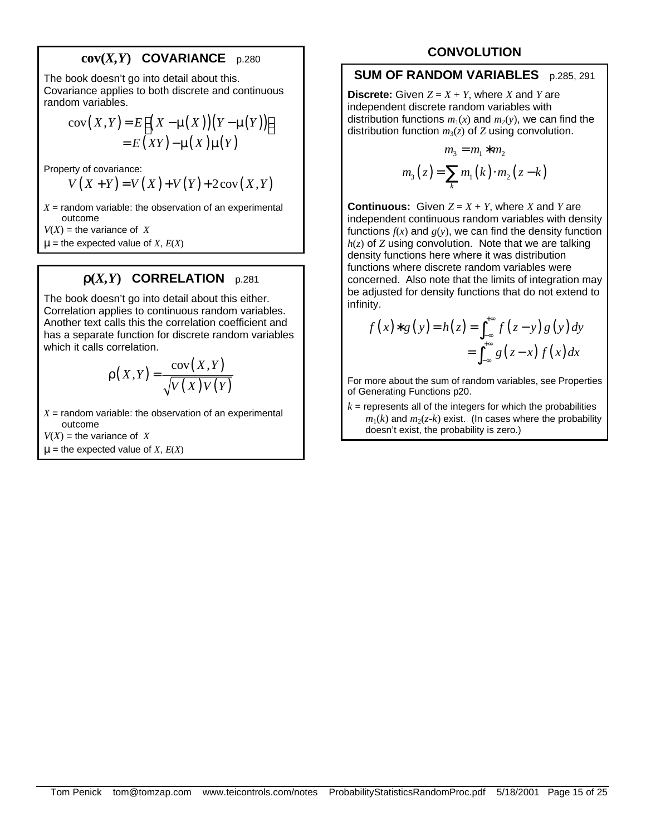# **cov(***X,Y***) COVARIANCE** p.280

The book doesn't go into detail about this. Covariance applies to both discrete and continuous random variables.

$$
cov(X,Y) = E[(X - \mu(X))(Y - \mu(Y))]
$$
  
= E(XY) - \mu(X)\mu(Y)

Property of covariance:

$$
V(X+Y) = V(X) + V(Y) + 2\operatorname{cov}(X,Y)
$$

 $X =$  random variable: the observation of an experimental outcome

 $V(X)$  = the variance of *X* 

 $\mu$  = the expected value of *X*,  $E(X)$ 

# $\mathbf{r}(X,Y)$  **CORRELATION** p.281

The book doesn't go into detail about this either. Correlation applies to continuous random variables. Another text calls this the correlation coefficient and has a separate function for discrete random variables which it calls correlation.

$$
\rho(X,Y) = \frac{\text{cov}(X,Y)}{\sqrt{V(X)V(Y)}}
$$

 $X =$  random variable: the observation of an experimental outcome

 $V(X)$  = the variance of *X* 

 $\mu$  = the expected value of *X*,  $E(X)$ 

# **CONVOLUTION**

#### **SUM OF RANDOM VARIABLES** p.285, 291

**Discrete:** Given  $Z = X + Y$ , where *X* and *Y* are independent discrete random variables with distribution functions  $m_1(x)$  and  $m_2(y)$ , we can find the distribution function  $m_3(z)$  of *Z* using convolution.

$$
m_3 = m_1 * m_2
$$
  

$$
m_3(z) = \sum_{k} m_1(k) \cdot m_2(z - k)
$$

**Continuous:** Given  $Z = X + Y$ , where *X* and *Y* are independent continuous random variables with density functions  $f(x)$  and  $g(y)$ , we can find the density function *h*(*z*) of *Z* using convolution. Note that we are talking density functions here where it was distribution functions where discrete random variables were concerned. Also note that the limits of integration may be adjusted for density functions that do not extend to infinity.

$$
f(x)*g(y) = h(z) = \int_{-\infty}^{+\infty} f(z-y)g(y)dy
$$

$$
= \int_{-\infty}^{+\infty} g(z-x) f(x)dx
$$

For more about the sum of random variables, see Properties of Generating Functions p20.

 $k =$  represents all of the integers for which the probabilities  $m_1(k)$  and  $m_2(z-k)$  exist. (In cases where the probability doesn't exist, the probability is zero.)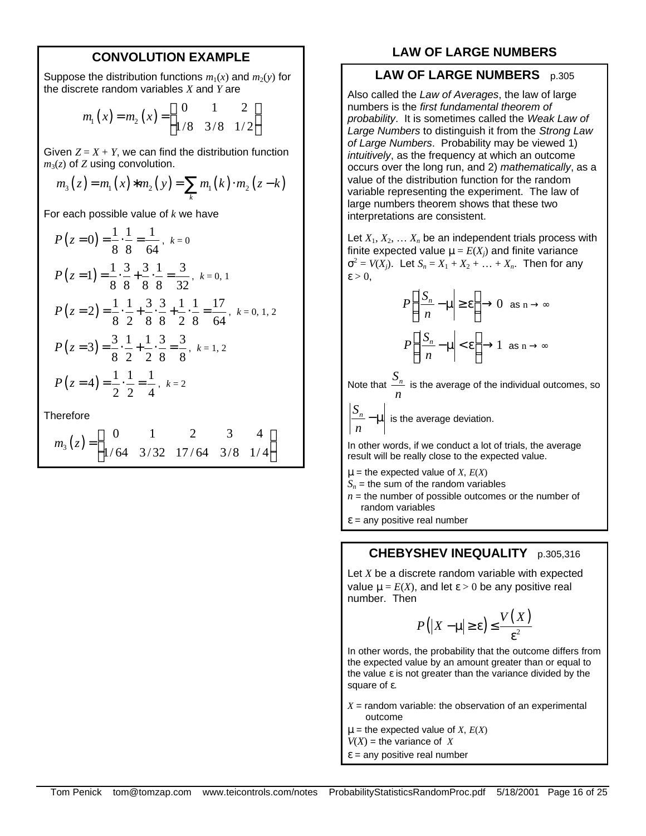#### **CONVOLUTION EXAMPLE**

Suppose the distribution functions  $m_1(x)$  and  $m_2(y)$  for the discrete random variables *X* and *Y* are

$$
m_1(x) = m_2(x) = \begin{pmatrix} 0 & 1 & 2 \\ 1/8 & 3/8 & 1/2 \end{pmatrix}
$$

Given  $Z = X + Y$ , we can find the distribution function  $m_3(z)$  of *Z* using convolution.

$$
m_3(z) = m_1(x) * m_2(y) = \sum_k m_1(k) \cdot m_2(z - k)
$$

For each possible value of *k* we have

$$
P(z=0) = \frac{1}{8} \cdot \frac{1}{8} = \frac{1}{64}, k=0
$$
  
\n
$$
P(z=1) = \frac{1}{8} \cdot \frac{3}{8} + \frac{3}{8} \cdot \frac{1}{8} = \frac{3}{32}, k=0, 1
$$
  
\n
$$
P(z=2) = \frac{1}{8} \cdot \frac{1}{2} + \frac{3}{8} \cdot \frac{3}{8} + \frac{1}{2} \cdot \frac{1}{8} = \frac{17}{64}, k=0, 1, 2
$$
  
\n
$$
P(z=3) = \frac{3}{8} \cdot \frac{1}{2} + \frac{1}{2} \cdot \frac{3}{8} = \frac{3}{8}, k=1, 2
$$
  
\n
$$
P(z=4) = \frac{1}{2} \cdot \frac{1}{2} = \frac{1}{4}, k=2
$$

**Therefore** 

$$
m_3(z) = \begin{pmatrix} 0 & 1 & 2 & 3 & 4 \\ 1/64 & 3/32 & 17/64 & 3/8 & 1/4 \end{pmatrix}
$$

## **LAW OF LARGE NUMBERS**

#### **LAW OF LARGE NUMBERS** p.305

Also called the *Law of Averages*, the law of large numbers is the *first fundamental theorem of probability*. It is sometimes called the *Weak Law of Large Numbers* to distinguish it from the *Strong Law of Large Numbers*. Probability may be viewed 1) *intuitively*, as the frequency at which an outcome occurs over the long run, and 2) *mathematically*, as a value of the distribution function for the random variable representing the experiment. The law of large numbers theorem shows that these two interpretations are consistent.

Let  $X_1, X_2, \ldots X_n$  be an independent trials process with finite expected value  $\mu = E(X_i)$  and finite variance  $\sigma^2 = V(X_j)$ . Let  $S_n = X_1 + X_2 + \ldots + X_n$ . Then for any  $\epsilon > 0$ .

$$
P\left(\left|\frac{S_n}{n} - \mu\right| \ge \varepsilon\right) \to 0 \text{ as } n \to \infty
$$

$$
P\left(\left|\frac{S_n}{n} - \mu\right| < \varepsilon\right) \to 1 \text{ as } n \to \infty
$$

Note that  $\frac{S_n}{S_n}$  $\frac{n}{n}$  is the average of the individual outcomes, so  $n$ 

*Sn n*  $-\mu$  is the average deviation.

In other words, if we conduct a lot of trials, the average result will be really close to the expected value.

- $\mu$  = the expected value of *X*,  $E(X)$
- $S_n$  = the sum of the random variables
- $n =$  the number of possible outcomes or the number of random variables
- $\epsilon$  = any positive real number

# **CHEBYSHEV INEQUALITY** p.305,316

Let *X* be a discrete random variable with expected value  $\mu = E(X)$ , and let  $\varepsilon > 0$  be any positive real number. Then

$$
P(|X - \mu| \ge \varepsilon) \le \frac{V(X)}{\varepsilon^2}
$$

In other words, the probability that the outcome differs from the expected value by an amount greater than or equal to the value  $\varepsilon$  is not greater than the variance divided by the square of ε.

- $X =$  random variable: the observation of an experimental outcome
- $\mu$  = the expected value of *X*,  $E(X)$
- $V(X)$  = the variance of *X*
- $\epsilon$  = any positive real number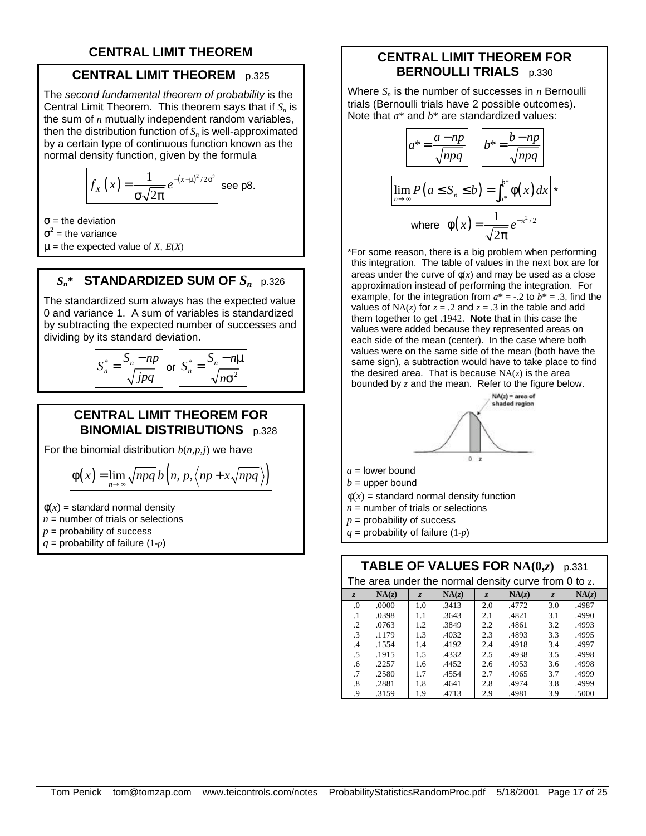# **CENTRAL LIMIT THEOREM**

## **CENTRAL LIMIT THEOREM** p.325

The *second fundamental theorem of probability* is the Central Limit Theorem. This theorem says that if *Sn* is the sum of *n* mutually independent random variables, then the distribution function of *Sn* is well-approximated by a certain type of continuous function known as the normal density function, given by the formula

$$
f_X(x) = \frac{1}{\sigma \sqrt{2\pi}} e^{-(x-\mu)^2/2\sigma^2} \text{ see p8.}
$$

 $σ = the deviation$ 

 $\sigma^2$  = the variance

 $\mu$  = the expected value of *X*,  $E(X)$ 

# $S_n^*$  **STANDARDIZED SUM OF**  $S_n$  p.326

The standardized sum always has the expected value 0 and variance 1. A sum of variables is standardized by subtracting the expected number of successes and dividing by its standard deviation.

$$
S_n^* = \frac{S_n - np}{\sqrt{jpq}} \text{ or } S_n^* = \frac{S_n - n\mu}{\sqrt{n\sigma^2}}
$$

#### **CENTRAL LIMIT THEOREM FOR BINOMIAL DISTRIBUTIONS** p.328

For the binomial distribution  $b(n,p,i)$  we have

$$
\Phi(x) = \lim_{n \to \infty} \sqrt{npq} \, b\Big(n, p, \Big\langle np + x\sqrt{npq} \Big\rangle\Big)
$$

 $\phi(x)$  = standard normal density

 $n =$  number of trials or selections

 $p =$  probability of success *q* = probability of failure (1-*p*)

#### **CENTRAL LIMIT THEOREM FOR BERNOULLI TRIALS** p.330

Where *Sn* is the number of successes in *n* Bernoulli trials (Bernoulli trials have 2 possible outcomes). Note that *a*\* and *b*\* are standardized values:

$$
a^* = \frac{a - np}{\sqrt{npq}} \qquad b^* = \frac{b - np}{\sqrt{npq}}
$$
  

$$
\lim_{n \to \infty} P(a \le S_n \le b) = \int_{a^*}^{b^*} \phi(x) dx
$$
  
where  $\phi(x) = \frac{1}{\sqrt{2\pi}} e^{-x^2/2}$ 

\*For some reason, there is a big problem when performing this integration. The table of values in the next box are for areas under the curve of  $\phi(x)$  and may be used as a close approximation instead of performing the integration. For example, for the integration from  $a^* = -2$  to  $b^* = -3$ , find the values of  $NA(z)$  for  $z = .2$  and  $z = .3$  in the table and add them together to get .1942. **Note** that in this case the values were added because they represented areas on each side of the mean (center). In the case where both values were on the same side of the mean (both have the same sign), a subtraction would have to take place to find the desired area. That is because  $NA(z)$  is the area bounded by *z* and the mean. Refer to the figure below.



#### **TABLE OF VALUES FOR**  $NA(0,z)$  p.331 The area under the normal density curve from 0 to *z*.

| The area under the normal density curve from 0 to z. |       |                |       |                |       |                |       |
|------------------------------------------------------|-------|----------------|-------|----------------|-------|----------------|-------|
| $\overline{z}$                                       | NA(z) | $\overline{z}$ | NA(z) | $\overline{z}$ | NA(z) | $\overline{z}$ | NA(z) |
| .0                                                   | .0000 | 1.0            | .3413 | 2.0            | .4772 | 3.0            | .4987 |
| $\cdot$ 1                                            | .0398 | 1.1            | .3643 | 2.1            | .4821 | 3.1            | .4990 |
| $\cdot$                                              | .0763 | 1.2            | .3849 | 2.2            | .4861 | 3.2            | .4993 |
| .3                                                   | .1179 | 1.3            | .4032 | 2.3            | .4893 | 3.3            | .4995 |
| .4                                                   | .1554 | 1.4            | .4192 | 2.4            | .4918 | 3.4            | .4997 |
| .5                                                   | .1915 | 1.5            | .4332 | 2.5            | .4938 | 3.5            | .4998 |
| .6                                                   | .2257 | 1.6            | .4452 | 2.6            | .4953 | 3.6            | .4998 |
| .7                                                   | .2580 | 1.7            | .4554 | 2.7            | .4965 | 3.7            | .4999 |
| .8                                                   | .2881 | 1.8            | .4641 | 2.8            | .4974 | 3.8            | .4999 |
| .9                                                   | .3159 | 1.9            | .4713 | 2.9            | .4981 | 3.9            | .5000 |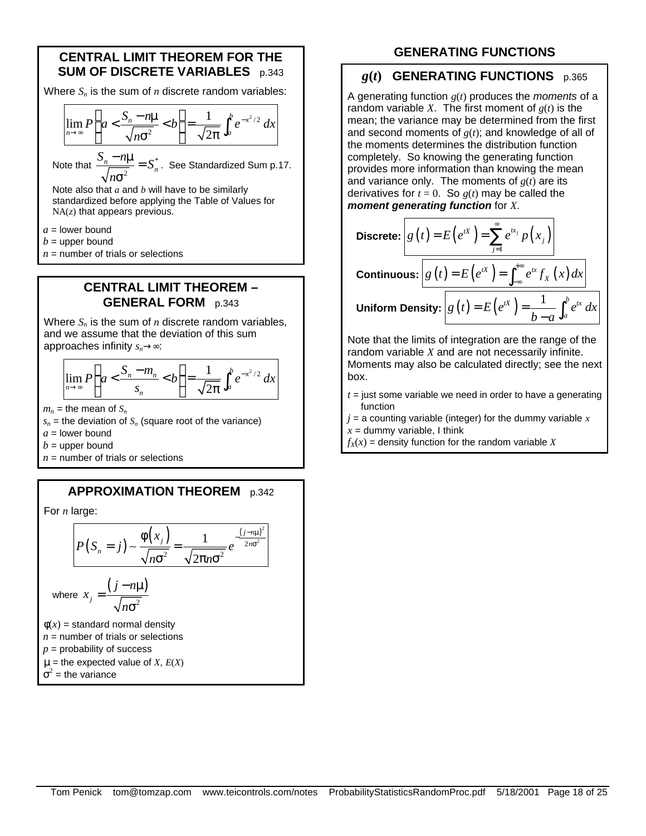#### **CENTRAL LIMIT THEOREM FOR THE SUM OF DISCRETE VARIABLES** p.343

Where *Sn* is the sum of *n* discrete random variables:

$$
\lim_{n\to\infty}P\left(a<\frac{S_n-n\mu}{\sqrt{n\sigma^2}}
$$

Note that  $\frac{S_n - n\mu}{\sqrt{n\sigma^2}} = S_n^*$  $\frac{S_n - n\mu}{\sqrt{2}} = S_n^*$ *n*  $\frac{-n\mu}{\mu}$  = σ . See Standardized Sum p.17.

Note also that *a* and *b* will have to be similarly standardized before applying the Table of Values for NA(*z*) that appears previous.

 $a =$ lower bound

 $b =$  upper bound

 $n =$  number of trials or selections

#### **CENTRAL LIMIT THEOREM – GENERAL FORM** p.343

Where *Sn* is the sum of *n* discrete random variables, and we assume that the deviation of this sum approaches infinity *sn*→∞:

$$
\lim_{n\to\infty}P\left(a<\frac{S_n-m_n}{s_n}
$$

 $m_n$  = the mean of  $S_n$ 

 $s_n$  = the deviation of  $S_n$  (square root of the variance)

 $a =$  lower bound

 $b =$  upper bound

 $n =$  number of trials or selections

#### **APPROXIMATION THEOREM** p.342

For *n* large:

$$
P(S_n = j) \sim \frac{\phi(x_j)}{\sqrt{n\sigma^2}} = \frac{1}{\sqrt{2\pi n\sigma^2}} e^{-\frac{(j - n\mu)^2}{2n\sigma^2}}
$$

where 
$$
x_j = \frac{(j - n\mu)}{\sqrt{n\sigma^2}}
$$

 $\phi(x)$  = standard normal density  $n =$  number of trials or selections  $p =$  probability of success  $\mu$  = the expected value of *X*,  $E(X)$ 

$$
\sigma^2 = \text{the variance}
$$

## **GENERATING FUNCTIONS**

#### *g***(***t***) GENERATING FUNCTIONS** p.365

A generating function *g*(*t*) produces the *moments* of a random variable *X*. The first moment of  $g(t)$  is the mean; the variance may be determined from the first and second moments of *g*(*t*); and knowledge of all of the moments determines the distribution function completely. So knowing the generating function provides more information than knowing the mean and variance only. The moments of *g*(*t*) are its derivatives for  $t = 0$ . So  $g(t)$  may be called the *moment generating function* for *X*.

Discrete: 
$$
g(t) = E(e^{tX}) = \sum_{j=1}^{\infty} e^{tx_j} p(x_j)
$$
  
Continuous: 
$$
g(t) = E(e^{tX}) = \int_{-\infty}^{+\infty} e^{tx} f_X(x) dx
$$
  
Uniform Density: 
$$
g(t) = E(e^{tX}) = \frac{1}{b-a} \int_a^b e^{tx} dx
$$

Note that the limits of integration are the range of the random variable *X* and are not necessarily infinite. Moments may also be calculated directly; see the next box.

- $t =$  just some variable we need in order to have a generating function
- $j = a$  counting variable (integer) for the dummy variable  $x$  $x =$  dummy variable, I think

 $f_X(x)$  = density function for the random variable *X*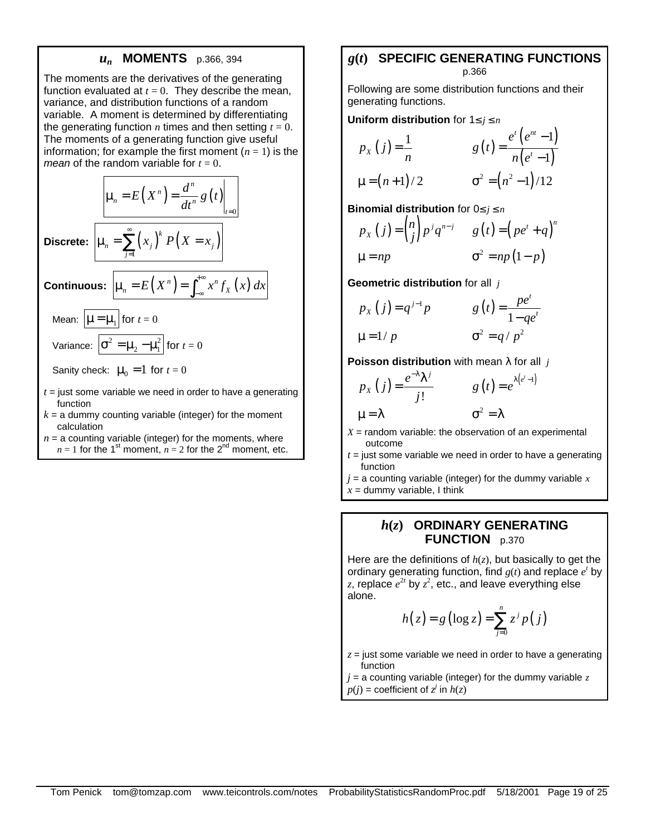#### *un* **MOMENTS** p.366, 394

The moments are the derivatives of the generating function evaluated at  $t = 0$ . They describe the mean, variance, and distribution functions of a random variable. A moment is determined by differentiating the generating function  $n$  times and then setting  $t = 0$ . The moments of a generating function give useful information; for example the first moment  $(n = 1)$  is the *mean* of the random variable for  $t = 0$ .

$$
\mu_n = E(X^n) = \frac{d^n}{dt^n} g(t) \Big|_{t=0}
$$
  
**Discrete:** 
$$
\mu_n = \sum_{j=1}^{\infty} (x_j)^k P(X = x_j)
$$
  
**Continuous:** 
$$
\mu_n = E(X^n) = \int_{-\infty}^{+\infty} x^n f_X(x) dx
$$
  
Mean: 
$$
\mu = \mu_1
$$
 for  $t = 0$   
Variance: 
$$
\sigma^2 = \mu_2 - \mu_1^2
$$
 for  $t = 0$   
Sanity check:  $\mu_0 = 1$  for  $t = 0$   
 $t =$  just some variable we need in order to have a generating

- function
- $k = a$  dummy counting variable (integer) for the moment calculation
- $n = a$  counting variable (integer) for the moments, where  $n = 1$  for the 1<sup>st</sup> moment,  $n = 2$  for the 2<sup>nd</sup> moment, etc.

#### *g***(***t***) SPECIFIC GENERATING FUNCTIONS**  p.366

Following are some distribution functions and their generating functions.

**Uniform distribution** for 1≤ *j* ≤ *n*

$$
p_{X}(j) = \frac{1}{n} \qquad \qquad g(t) = \frac{e^{t}(e^{nt} - 1)}{n(e^{t} - 1)}
$$
  

$$
\mu = (n+1)/2 \qquad \qquad \sigma^{2} = (n^{2} - 1)/12
$$

**Binomial distribution** for 0≤ *j* ≤ *n*

$$
p_{X}(j) = {n \choose j} p^{j} q^{n-j} \qquad g(t) = (pe^{t} + q)^{n}
$$
  

$$
\mu = np \qquad \qquad \sigma^{2} = np(1-p)
$$

**Geometric distribution** for all *j*

$$
p_X(j) = q^{j-1}p
$$
  $g(t) = \frac{pe^t}{1 - qe^t}$   
 $\mu = 1/p$   $\sigma^2 = q/p^2$ 

**Poisson distribution** with mean λ for all *j*

$$
p_{X}(j) = \frac{e^{-\lambda} \lambda^{j}}{j!} \qquad g(t) = e^{\lambda(e^{t} - 1)}
$$
  

$$
\mu = \lambda \qquad \sigma^{2} = \lambda
$$

 $X =$  random variable: the observation of an experimental outcome

- $t =$  just some variable we need in order to have a generating function
- $j = a$  counting variable (integer) for the dummy variable  $x$

 $x =$  dummy variable, I think

#### *h***(***z***) ORDINARY GENERATING FUNCTION** p.370

Here are the definitions of *h*(*z*), but basically to get the ordinary generating function, find  $g(t)$  and replace  $e^t$  by z, replace  $e^{2t}$  by  $z^2$ , etc., and leave everything else alone.

$$
h(z) = g(\log z) = \sum_{j=0}^{n} z^{j} p(j)
$$

 $z =$  just some variable we need in order to have a generating function

 $j = a$  counting variable (integer) for the dummy variable  $z$  $p(j)$  = coefficient of  $z^j$  in  $h(z)$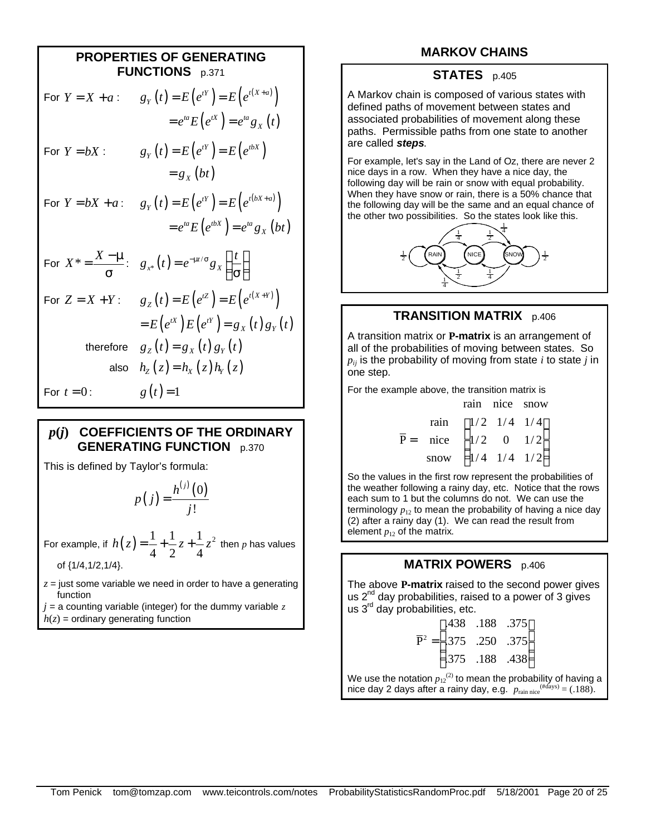| <b>PROPERTIES OF GENERATING</b><br><b>FUNCTIONS</b> p.371 |                                                                                                             |  |  |
|-----------------------------------------------------------|-------------------------------------------------------------------------------------------------------------|--|--|
| For $Y = X + a$ :                                         | $g_Y(t) = E(e^{tY}) = E(e^{t(X+a)})$                                                                        |  |  |
|                                                           | $= e^{ta} E(e^{tX}) = e^{ta} g_X(t)$                                                                        |  |  |
| For $Y = bX$ :                                            | $g_Y(t) = E(e^{tY}) = E(e^{t\delta X})$                                                                     |  |  |
|                                                           | $= g_x(bt)$                                                                                                 |  |  |
| For $Y = bX + a$ :                                        | $g_Y(t) = E(e^{tY}) = E(e^{t(bX+a)})$                                                                       |  |  |
|                                                           | $= e^{ta} E(e^{tbX}) = e^{ta} g_X(bt)$                                                                      |  |  |
|                                                           | For $X^* = \frac{X - \mu}{\sigma}$ : $g_{x^*}(t) = e^{-\mu t / \sigma} g_x \left( \frac{t}{\sigma} \right)$ |  |  |
| For $Z = X + Y$ :                                         | $g_Z(t) = E(e^{tZ}) = E(e^{t(X+Y)})$                                                                        |  |  |
|                                                           | $= E(e^{tX}) E(e^{tY}) = g_X(t) g_Y(t)$                                                                     |  |  |
| therefore                                                 | $g_{z}(t) = g_{x}(t) g_{y}(t)$                                                                              |  |  |
| also                                                      | $h_{z}(z) = h_{x}(z) h_{y}(z)$                                                                              |  |  |
| For $t=0$ :                                               | $g(t) = 1$                                                                                                  |  |  |

## *p***(***j***) COEFFICIENTS OF THE ORDINARY GENERATING FUNCTION** p.370

This is defined by Taylor's formula:

$$
p(j) = \frac{h^{(j)}(0)}{j!}
$$

For example, if  $h(z) = \frac{1}{z} + \frac{1}{z}z + \frac{1}{z}z^2$  $4 \t2 \t4$  $h(z) = \frac{1}{z} + \frac{1}{z}z + \frac{1}{z}z^2$  then *p* has values of {1/4,1/2,1/4}.

 $z =$  just some variable we need in order to have a generating function

 $j = a$  counting variable (integer) for the dummy variable  $z$  $h(z)$  = ordinary generating function

# **MARKOV CHAINS**

#### **STATES** p.405

A Markov chain is composed of various states with defined paths of movement between states and associated probabilities of movement along these paths. Permissible paths from one state to another are called *steps*.

For example, let's say in the Land of Oz, there are never 2 nice days in a row. When they have a nice day, the following day will be rain or snow with equal probability. When they have snow or rain, there is a 50% chance that the following day will be the same and an equal chance of the other two possibilities. So the states look like this.



#### **TRANSITION MATRIX** p.406

A transition matrix or **P-matrix** is an arrangement of all of the probabilities of moving between states. So  $p_{ij}$  is the probability of moving from state *i* to state *j* in one step.

For the example above, the transition matrix is

|                                                                              | rain nice snow |                                                 |
|------------------------------------------------------------------------------|----------------|-------------------------------------------------|
| rain $(1/2 \t1/4 \t1/4)$                                                     |                |                                                 |
| $\overline{P}$ = nice $\left  \frac{1}{2} \quad 0 \quad \frac{1}{2} \right $ |                |                                                 |
| snow                                                                         |                | $\begin{pmatrix} 1/4 & 1/4 & 1/2 \end{pmatrix}$ |

So the values in the first row represent the probabilities of the weather following a rainy day, etc. Notice that the rows each sum to 1 but the columns do not. We can use the terminology  $p_{12}$  to mean the probability of having a nice day (2) after a rainy day (1). We can read the result from element  $p_{12}$  of the matrix.

# **MATRIX POWERS** p.406

The above **P-matrix** raised to the second power gives us  $2^{nd}$  day probabilities, raised to a power of 3 gives us  $3<sup>rd</sup>$  day probabilities, etc.

|  | $(.438 \t .188 \t .375)$              |
|--|---------------------------------------|
|  | $\overline{P}^2 =   .375 .250 .375  $ |
|  | $.375$ .188 .438                      |

We use the notation  $p_{12}^{(2)}$  to mean the probability of having a nice day 2 days after a rainy day, e.g.  $p_{\text{rain nice}}^{(\text{Hdays})} = (.188)$ .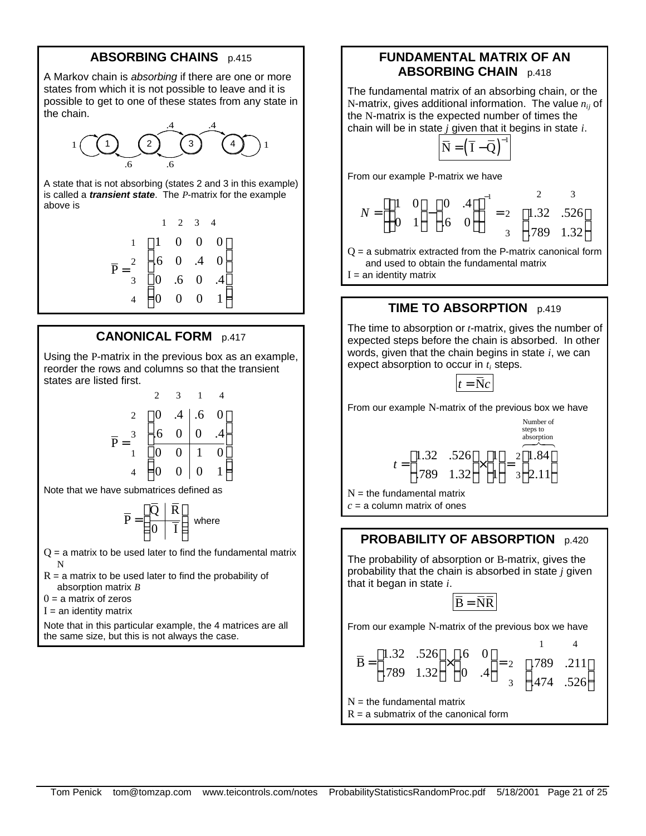#### **ABSORBING CHAINS** p.415

A Markov chain is *absorbing* if there are one or more states from which it is not possible to leave and it is possible to get to one of these states from any state in the chain.



A state that is not absorbing (states 2 and 3 in this example) is called a *transient state*. The *P*-matrix for the example above is

$$
\overline{P} = \begin{pmatrix}\n1 & 2 & 3 & 4 \\
1 & 0 & 0 & 0 \\
2 & 6 & 0 & 0 & 0 \\
3 & 0 & 6 & 0 & 0 & 4 \\
4 & 0 & 0 & 0 & 1\n\end{pmatrix}
$$

#### **CANONICAL FORM** p.417

Using the P-matrix in the previous box as an example, reorder the rows and columns so that the transient states are listed first.

$$
\overline{P} = \begin{pmatrix}\n2 & 3 & 1 & 4 \\
2 & 0 & .4 & .6 & 0 \\
3 & 6 & 0 & 0 & .4 \\
1 & 0 & 0 & 1 & 0 \\
4 & 0 & 0 & 0 & 1\n\end{pmatrix}
$$

Note that we have submatrices defined as

$$
\overline{P} = \left(\frac{\overline{Q} \mid \overline{R}}{0 \mid \overline{I}}\right)
$$
 where

 $Q = a$  matrix to be used later to find the fundamental matrix N

 $R = a$  matrix to be used later to find the probability of absorption matrix *B*

 $0 = a$  matrix of zeros

 $I =$ an identity matrix

Note that in this particular example, the 4 matrices are all the same size, but this is not always the case.

#### **FUNDAMENTAL MATRIX OF AN ABSORBING CHAIN** p.418

The fundamental matrix of an absorbing chain, or the N-matrix, gives additional information. The value *nij* of the N-matrix is the expected number of times the chain will be in state *j* given that it begins in state *i*.

$$
\overline{N} = \left(\overline{I} - \overline{Q}\right)^{-1}
$$

From our example P-matrix we have

$$
N = \left[ \begin{pmatrix} 1 & 0 \\ 0 & 1 \end{pmatrix} - \begin{pmatrix} 0 & .4 \\ .6 & 0 \end{pmatrix} \right]^{-1} = 2 \begin{pmatrix} 2 & 3 \\ 1.32 & .526 \\ .789 & 1.32 \end{pmatrix}
$$

 $Q = a$  submatrix extracted from the P-matrix canonical form and used to obtain the fundamental matrix

 $I =$ an identity matrix

#### **TIME TO ABSORPTION** p.419

The time to absorption or *t*-matrix, gives the number of expected steps before the chain is absorbed. In other words, given that the chain begins in state *i*, we can expect absorption to occur in  $t_i$  steps.

$$
t = \overline{\mathbf{N}}c
$$

From our example N-matrix of the previous box we have

$$
t = \begin{pmatrix} 1.32 & .526 \\ .789 & 1.32 \end{pmatrix} \times \begin{pmatrix} 1 \\ 1 \end{pmatrix} = 2 \begin{pmatrix} 1.84 \\ 2.11 \end{pmatrix}
$$

 $N =$  the fundamental matrix  $c = a$  column matrix of ones

#### **PROBABILITY OF ABSORPTION** p.420

The probability of absorption or B-matrix, gives the probability that the chain is absorbed in state *j* given that it began in state *i*.

$$
\overline{B} = \overline{N}\overline{R}
$$

From our example N-matrix of the previous box we have

$$
\overline{B} = \begin{pmatrix} 1.32 & .526 \\ .789 & 1.32 \end{pmatrix} \times \begin{pmatrix} .6 & 0 \\ 0 & .4 \end{pmatrix} = \begin{pmatrix} 1 & 4 \\ .789 & .211 \\ .474 & .526 \end{pmatrix}
$$

 $N =$  the fundamental matrix

 $R = a$  submatrix of the canonical form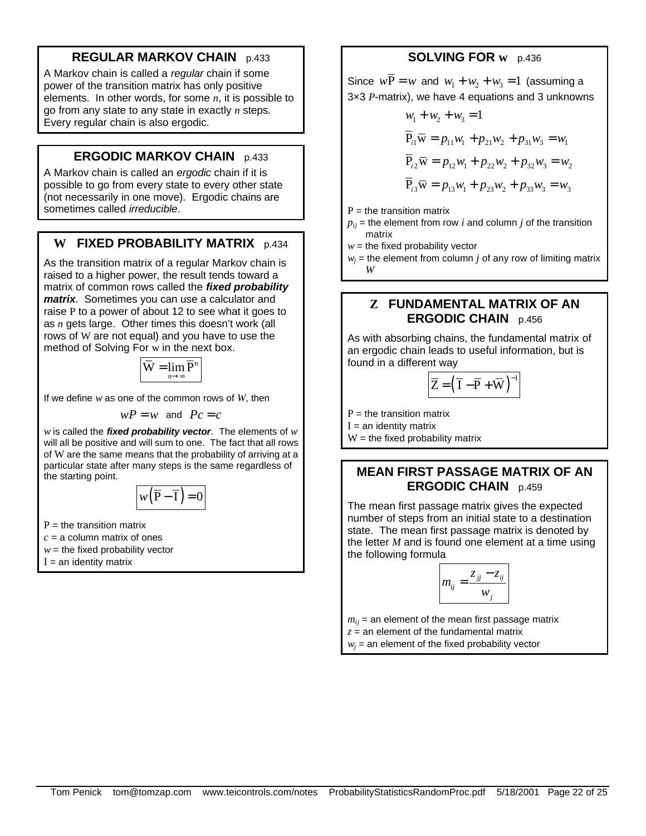# **REGULAR MARKOV CHAIN** p.433

A Markov chain is called a *regular* chain if some power of the transition matrix has only positive elements. In other words, for some *n*, it is possible to go from any state to any state in exactly *n* steps. Every regular chain is also ergodic.

# **ERGODIC MARKOV CHAIN** p.433

A Markov chain is called an *ergodic* chain if it is possible to go from every state to every other state (not necessarily in one move). Ergodic chains are sometimes called *irreducible*.

# **W FIXED PROBABILITY MATRIX** p.434

As the transition matrix of a regular Markov chain is raised to a higher power, the result tends toward a matrix of common rows called the *fixed probability matrix*. Sometimes you can use a calculator and raise P to a power of about 12 to see what it goes to as *n* gets large. Other times this doesn't work (all rows of W are not equal) and you have to use the method of Solving For w in the next box.

$$
\overline{\mathbf{W}} = \lim_{n \to \infty} \overline{\mathbf{P}}^n
$$

If we define *w* as one of the common rows of *W*, then

$$
wP = w \text{ and } Pc = c
$$

*w* is called the *fixed probability vector*. The elements of *w* will all be positive and will sum to one. The fact that all rows of W are the same means that the probability of arriving at a particular state after many steps is the same regardless of the starting point.

$$
w(\overline{P}-\overline{I})=0
$$

 $P =$  the transition matrix

- $c = a$  column matrix of ones
- $w =$  the fixed probability vector
- $I =$ an identity matrix

# **SOLVING FOR w** p.436

Since  $w\overline{P} = w$  and  $w_1 + w_2 + w_3 = 1$  (assuming a 3×3 *P*-matrix), we have 4 equations and 3 unknowns

$$
w_1 + w_2 + w_3 = 1
$$
  
\n
$$
\overline{P}_{i1} \overline{w} = p_{11}w_1 + p_{21}w_2 + p_{31}w_3 = w_1
$$
  
\n
$$
\overline{P}_{i2} \overline{w} = p_{12}w_1 + p_{22}w_2 + p_{32}w_3 = w_2
$$
  
\n
$$
\overline{P}_{i3} \overline{w} = p_{13}w_1 + p_{23}w_2 + p_{33}w_3 = w_3
$$

 $P =$  the transition matrix

 $p_{ii}$  = the element from row *i* and column *j* of the transition matrix

 $w =$  the fixed probability vector

 $w_j$  = the element from column *j* of any row of limiting matrix *W*

## **Z FUNDAMENTAL MATRIX OF AN ERGODIC CHAIN** p.456

As with absorbing chains, the fundamental matrix of an ergodic chain leads to useful information, but is found in a different way

$$
\left|\overline{Z}=\left(\overline{I}-\overline{P}+\overline{W}\right)\right|
$$

1

 $P =$  the transition matrix

 $I =$ an identity matrix

 $W =$  the fixed probability matrix

# **MEAN FIRST PASSAGE MATRIX OF AN ERGODIC CHAIN** p.459

The mean first passage matrix gives the expected number of steps from an initial state to a destination state. The mean first passage matrix is denoted by the letter *M* and is found one element at a time using the following formula

$$
m_{ij} = \frac{z_{jj} - z_{ij}}{w_j}
$$

 $m_{ii}$  = an element of the mean first passage matrix  $z =$  an element of the fundamental matrix

 $w_j$  = an element of the fixed probability vector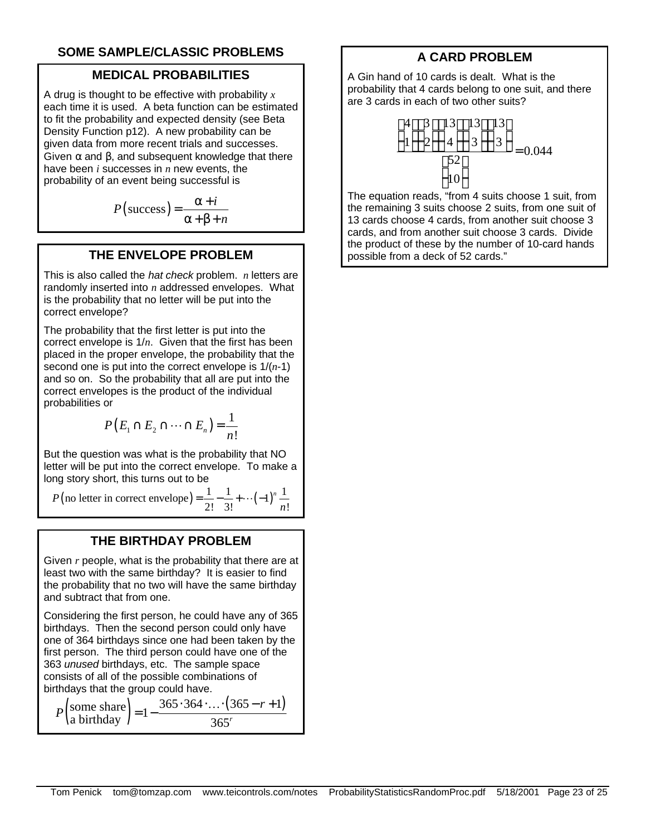# **SOME SAMPLE/CLASSIC PROBLEMS**

## **MEDICAL PROBABILITIES**

A drug is thought to be effective with probability *x* each time it is used. A beta function can be estimated to fit the probability and expected density (see Beta Density Function p12). A new probability can be given data from more recent trials and successes. Given  $\alpha$  and  $\beta$ , and subsequent knowledge that there have been *i* successes in *n* new events, the probability of an event being successful is

$$
P(\text{success}) = \frac{\alpha + i}{\alpha + \beta + n}
$$

## **THE ENVELOPE PROBLEM**

This is also called the *hat check* problem. *n* letters are randomly inserted into *n* addressed envelopes. What is the probability that no letter will be put into the correct envelope?

The probability that the first letter is put into the correct envelope is 1/*n*. Given that the first has been placed in the proper envelope, the probability that the second one is put into the correct envelope is 1/(*n*-1) and so on. So the probability that all are put into the correct envelopes is the product of the individual probabilities or

$$
P(E_1 \cap E_2 \cap \dots \cap E_n) = \frac{1}{n!}
$$

But the question was what is the probability that NO letter will be put into the correct envelope. To make a long story short, this turns out to be

(no letter in correct envelope) =  $\frac{1}{\infty} - \frac{1}{\infty} + \cdots + (-1)^n \frac{1}{\infty}$ 2!  $3!$   $n!$  $P(\text{no letter in correct envelope}) = \frac{1}{2!} - \frac{1}{3!} + \cdots + (-1)^n$  $=\frac{1}{2!} - \frac{1}{3!} + \cdots (-1)^n \frac{1}{n}$ 

#### **THE BIRTHDAY PROBLEM**

Given *r* people, what is the probability that there are at least two with the same birthday? It is easier to find the probability that no two will have the same birthday and subtract that from one.

Considering the first person, he could have any of 365 birthdays. Then the second person could only have one of 364 birthdays since one had been taken by the first person. The third person could have one of the 363 *unused* birthdays, etc. The sample space consists of all of the possible combinations of birthdays that the group could have.

$$
P\left(\text{some share}\atop \text{a birthday}\right) = 1 - \frac{365 \cdot 364 \cdot \dots \cdot (365 - r + 1)}{365}
$$

# **A CARD PROBLEM**

A Gin hand of 10 cards is dealt. What is the probability that 4 cards belong to one suit, and there are 3 cards in each of two other suits?

$$
\binom{4}{1}\binom{3}{2}\binom{13}{4}\binom{13}{3}\binom{13}{3}
$$
= 0.044

The equation reads, "from 4 suits choose 1 suit, from the remaining 3 suits choose 2 suits, from one suit of 13 cards choose 4 cards, from another suit choose 3 cards, and from another suit choose 3 cards. Divide the product of these by the number of 10-card hands possible from a deck of 52 cards."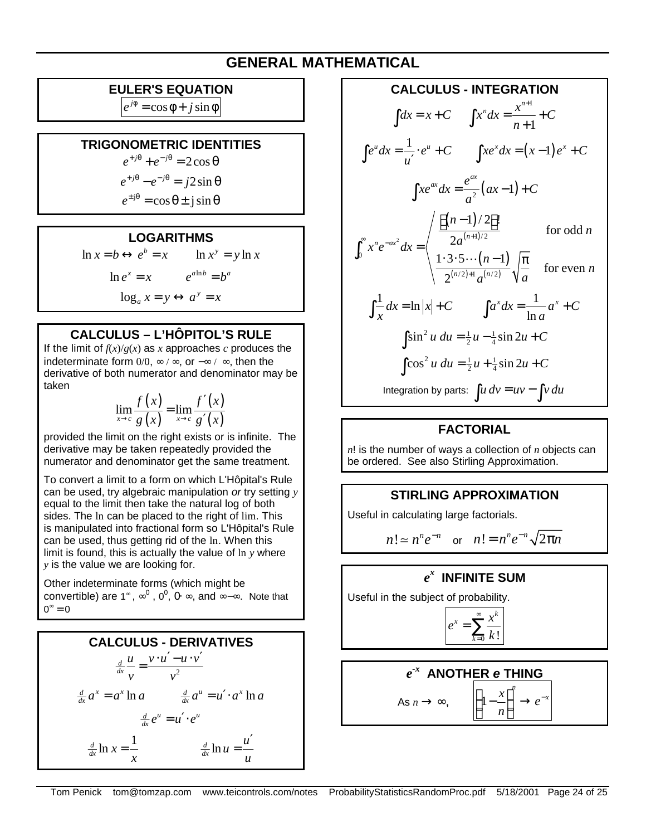# **GENERAL MATHEMATICAL**

## **EULER'S EQUATION**

 $e^{j\phi} = \cos \phi + j \sin \phi$ 

#### **TRIGONOMETRIC IDENTITIES**

 $e^{+j\theta} + e^{-j\theta} = 2\cos\theta$ 

$$
e^{+j\theta} - e^{-j\theta} = j2\sin\theta
$$

$$
e^{\pm j\theta} = \cos \theta \pm j \sin \theta
$$

#### **LOGARITHMS**

$$
\ln x = b \leftrightarrow e^b = x \qquad \ln x^y = y \ln x
$$

$$
\ln e^x = x \qquad e^{a \ln b} = b^a
$$

$$
\log_a x = y \leftrightarrow a^y = x
$$

# **CALCULUS – L'HÔPITOL'S RULE**

If the limit of  $f(x)/g(x)$  as *x* approaches *c* produces the indeterminate form  $0/0$ ,  $\infty$  /  $\infty$ , or  $-\infty$  /  $\infty$ , then the derivative of both numerator and denominator may be taken

> $(x)$  $(x)$  $(x)$  $\lim_{x \to c} \frac{f(x)}{g(x)} = \lim_{x \to c} \frac{f(x)}{g'(x)}$  $f(x)$ ,  $f'(x)$  $\rightarrow c$   $g(x)$   $\rightarrow c$   $g'(x)$ ′ = ′

provided the limit on the right exists or is infinite. The derivative may be taken repeatedly provided the numerator and denominator get the same treatment.

To convert a limit to a form on which L'Hôpital's Rule can be used, try algebraic manipulation *or* try setting *y* equal to the limit then take the natural log of both sides. The ln can be placed to the right of lim. This is manipulated into fractional form so L'Hôpital's Rule can be used, thus getting rid of the ln. When this limit is found, this is actually the value of ln *y* where *y* is the value we are looking for.

Other indeterminate forms (which might be convertible) are 1<sup>∞</sup>,  $\infty^0$ , 0<sup>0</sup>, 0⋅ ∞, and ∞–∞. Note that  $0^{\circ} = 0$ 

# **CALCULUS - DERIVATIVES**

$$
\frac{d}{dx} \frac{u}{v} = \frac{v \cdot u' - u \cdot v'}{v^2}
$$

$$
\frac{d}{dx} a^x = a^x \ln a \qquad \frac{d}{dx} a^u = u' \cdot a^x \ln a
$$

$$
\frac{d}{dx} e^u = u' \cdot e^u
$$

$$
\frac{d}{dx} \ln x = \frac{1}{x} \qquad \frac{d}{dx} \ln u = \frac{u'}{u}
$$

**CALCULUS - INTEGRATION**  $\int dx = x + C \qquad \int x^n dx = \frac{x^{n+1}}{n+1}$ 1  $x^n dx = \frac{x^{n+1}}{1} + C$ *n* +  $=\frac{x}{x}+$  $\int x^n dx = \frac{x}{n+1}$  $e^u dx = \frac{1}{\epsilon} \cdot e^u + C$  $\int e^{u} dx = \frac{1}{u'} \cdot e^{u} + C$   $\int xe^{x} dx = (x-1)e^{x} + C$  $\frac{1}{2}(ax-1)$  $xe^{ax}dx = \frac{e^{ax}}{2}(ax-1) + C$  $\int xe^{ax} dx = \frac{e}{a^2}(ax-1) +$  $(n-1)$  $(n+1)$  $(n-1)$  $(n/2)+1$   $(n/2)$ 2  $\sqrt{2}a^{(n+1)/2}$ 0  $(2) + 1 \quad (n/2)$  $1)/2$  !! for odd 2  $1 \cdot 3 \cdot 5 \cdots (n-1)$ for even 2  $\int_{a}^{n}$  *ax*<sup>2</sup> *dx* -  $\int$  2*a*<sup>(*n*</sup>)  $n/2$  +1  $(n/2)$ *n n*  $x^n e^{-ax^2} dx = \begin{cases} 2a \end{cases}$ *n n*  $a^{(n/2)}$   $\sqrt[n]{a}$  $\int_{0}^{\infty}$   $\int_{0}^{n}$   $\int_{0}^{2} dx$   $\int_{0}^{n}$   $2a^{(n+1)}$ +  $\lfloor (n-1)/2 \rfloor$ =  $\int_0^\infty x^n e^{-ax^2} dx = \begin{cases} 2a \\ 1 \cdot 3 \cdot 5 \cdots (n-1) \end{cases}$  $\frac{1}{x} dx = \ln |x| + C$  $\int \frac{1}{x} dx = \ln |x| + C$   $\int a^x dx = \frac{1}{\ln a}$ ln  $a^x dx = \frac{1}{a^x} + C$  $\int a^x dx = \frac{1}{\ln a} a^x +$  $\int \sin^2 u \, du = \frac{1}{2}u - \frac{1}{4}\sin 2u + C$  $\int \cos^2 u \, du = \frac{1}{2}u + \frac{1}{4}\sin 2u + C$ Integration by parts:  $\int u dv = uv - \int v du$ 

## **FACTORIAL**

*n*! is the number of ways a collection of *n* objects can be ordered. See also Stirling Approximation.

#### **STIRLING APPROXIMATION**

Useful in calculating large factorials.

$$
n! \simeq n^n e^{-n} \quad \text{or} \quad n! = n^n e^{-n} \sqrt{2\pi n}
$$

# *e x*  **INFINITE SUM**

Useful in the subject of probability.

$$
e^x = \sum_{k=0}^{\infty} \frac{x^k}{k!}
$$

# *e -x*  **ANOTHER** *e* **THING**

*n*

$$
\mathsf{As}\, n \to \infty,\qquad \bigg(1
$$

$$
\frac{1 - \frac{x}{n}}{\left(1 - \frac{x}{n}\right)^n \to e^{-x}}
$$